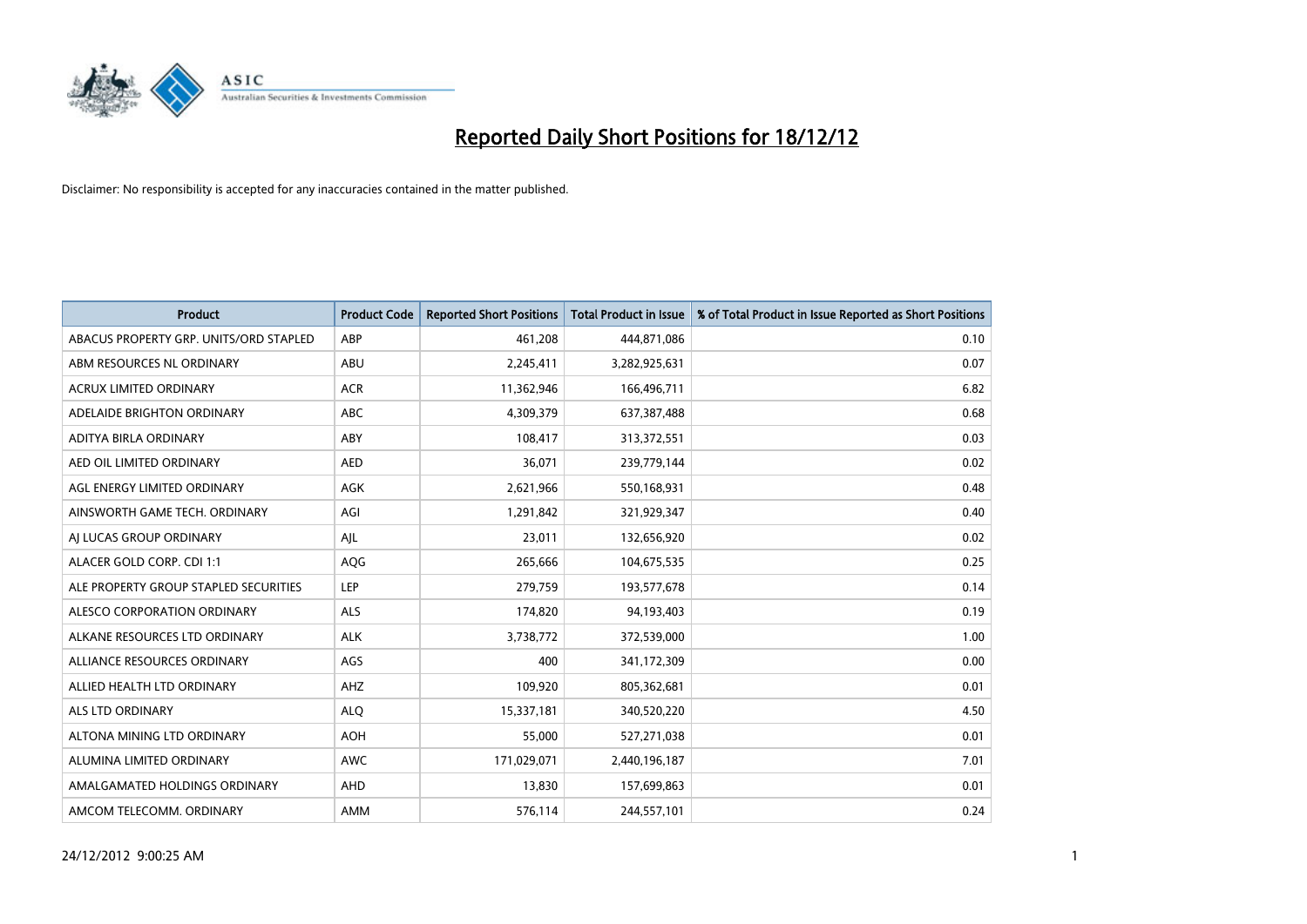

| <b>Product</b>                         | <b>Product Code</b> | <b>Reported Short Positions</b> | <b>Total Product in Issue</b> | % of Total Product in Issue Reported as Short Positions |
|----------------------------------------|---------------------|---------------------------------|-------------------------------|---------------------------------------------------------|
| ABACUS PROPERTY GRP. UNITS/ORD STAPLED | ABP                 | 461,208                         | 444,871,086                   | 0.10                                                    |
| ABM RESOURCES NL ORDINARY              | <b>ABU</b>          | 2,245,411                       | 3,282,925,631                 | 0.07                                                    |
| <b>ACRUX LIMITED ORDINARY</b>          | <b>ACR</b>          | 11,362,946                      | 166,496,711                   | 6.82                                                    |
| ADELAIDE BRIGHTON ORDINARY             | <b>ABC</b>          | 4,309,379                       | 637,387,488                   | 0.68                                                    |
| ADITYA BIRLA ORDINARY                  | ABY                 | 108,417                         | 313,372,551                   | 0.03                                                    |
| AED OIL LIMITED ORDINARY               | <b>AED</b>          | 36,071                          | 239,779,144                   | 0.02                                                    |
| AGL ENERGY LIMITED ORDINARY            | <b>AGK</b>          | 2,621,966                       | 550,168,931                   | 0.48                                                    |
| AINSWORTH GAME TECH. ORDINARY          | AGI                 | 1,291,842                       | 321,929,347                   | 0.40                                                    |
| AI LUCAS GROUP ORDINARY                | AJL                 | 23,011                          | 132,656,920                   | 0.02                                                    |
| ALACER GOLD CORP. CDI 1:1              | AQG                 | 265,666                         | 104,675,535                   | 0.25                                                    |
| ALE PROPERTY GROUP STAPLED SECURITIES  | LEP                 | 279,759                         | 193,577,678                   | 0.14                                                    |
| ALESCO CORPORATION ORDINARY            | <b>ALS</b>          | 174,820                         | 94,193,403                    | 0.19                                                    |
| ALKANE RESOURCES LTD ORDINARY          | <b>ALK</b>          | 3,738,772                       | 372,539,000                   | 1.00                                                    |
| ALLIANCE RESOURCES ORDINARY            | AGS                 | 400                             | 341,172,309                   | 0.00                                                    |
| ALLIED HEALTH LTD ORDINARY             | AHZ                 | 109,920                         | 805,362,681                   | 0.01                                                    |
| ALS LTD ORDINARY                       | <b>ALO</b>          | 15,337,181                      | 340,520,220                   | 4.50                                                    |
| ALTONA MINING LTD ORDINARY             | <b>AOH</b>          | 55,000                          | 527,271,038                   | 0.01                                                    |
| ALUMINA LIMITED ORDINARY               | <b>AWC</b>          | 171,029,071                     | 2,440,196,187                 | 7.01                                                    |
| AMALGAMATED HOLDINGS ORDINARY          | <b>AHD</b>          | 13,830                          | 157,699,863                   | 0.01                                                    |
| AMCOM TELECOMM. ORDINARY               | <b>AMM</b>          | 576,114                         | 244,557,101                   | 0.24                                                    |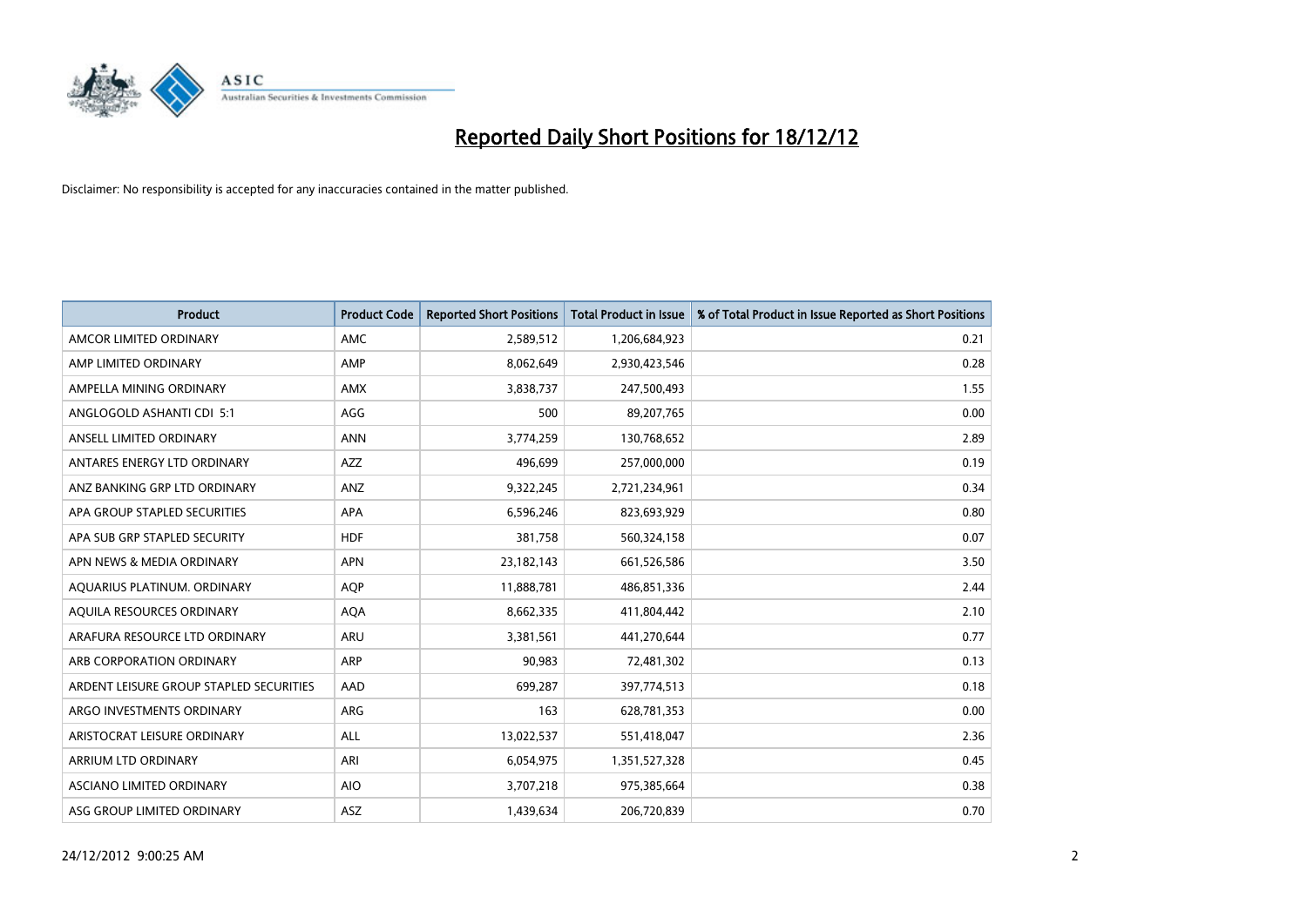

| <b>Product</b>                          | <b>Product Code</b> | <b>Reported Short Positions</b> | <b>Total Product in Issue</b> | % of Total Product in Issue Reported as Short Positions |
|-----------------------------------------|---------------------|---------------------------------|-------------------------------|---------------------------------------------------------|
| AMCOR LIMITED ORDINARY                  | AMC                 | 2,589,512                       | 1,206,684,923                 | 0.21                                                    |
| AMP LIMITED ORDINARY                    | AMP                 | 8,062,649                       | 2,930,423,546                 | 0.28                                                    |
| AMPELLA MINING ORDINARY                 | <b>AMX</b>          | 3,838,737                       | 247,500,493                   | 1.55                                                    |
| ANGLOGOLD ASHANTI CDI 5:1               | AGG                 | 500                             | 89,207,765                    | 0.00                                                    |
| ANSELL LIMITED ORDINARY                 | <b>ANN</b>          | 3,774,259                       | 130,768,652                   | 2.89                                                    |
| ANTARES ENERGY LTD ORDINARY             | <b>AZZ</b>          | 496,699                         | 257,000,000                   | 0.19                                                    |
| ANZ BANKING GRP LTD ORDINARY            | ANZ                 | 9,322,245                       | 2,721,234,961                 | 0.34                                                    |
| APA GROUP STAPLED SECURITIES            | <b>APA</b>          | 6,596,246                       | 823,693,929                   | 0.80                                                    |
| APA SUB GRP STAPLED SECURITY            | <b>HDF</b>          | 381,758                         | 560,324,158                   | 0.07                                                    |
| APN NEWS & MEDIA ORDINARY               | <b>APN</b>          | 23,182,143                      | 661,526,586                   | 3.50                                                    |
| AQUARIUS PLATINUM. ORDINARY             | <b>AOP</b>          | 11,888,781                      | 486,851,336                   | 2.44                                                    |
| AQUILA RESOURCES ORDINARY               | <b>AQA</b>          | 8,662,335                       | 411,804,442                   | 2.10                                                    |
| ARAFURA RESOURCE LTD ORDINARY           | <b>ARU</b>          | 3,381,561                       | 441,270,644                   | 0.77                                                    |
| ARB CORPORATION ORDINARY                | ARP                 | 90,983                          | 72,481,302                    | 0.13                                                    |
| ARDENT LEISURE GROUP STAPLED SECURITIES | AAD                 | 699,287                         | 397,774,513                   | 0.18                                                    |
| ARGO INVESTMENTS ORDINARY               | ARG                 | 163                             | 628,781,353                   | 0.00                                                    |
| ARISTOCRAT LEISURE ORDINARY             | <b>ALL</b>          | 13,022,537                      | 551,418,047                   | 2.36                                                    |
| ARRIUM LTD ORDINARY                     | ARI                 | 6,054,975                       | 1,351,527,328                 | 0.45                                                    |
| ASCIANO LIMITED ORDINARY                | <b>AIO</b>          | 3,707,218                       | 975,385,664                   | 0.38                                                    |
| ASG GROUP LIMITED ORDINARY              | <b>ASZ</b>          | 1.439.634                       | 206,720,839                   | 0.70                                                    |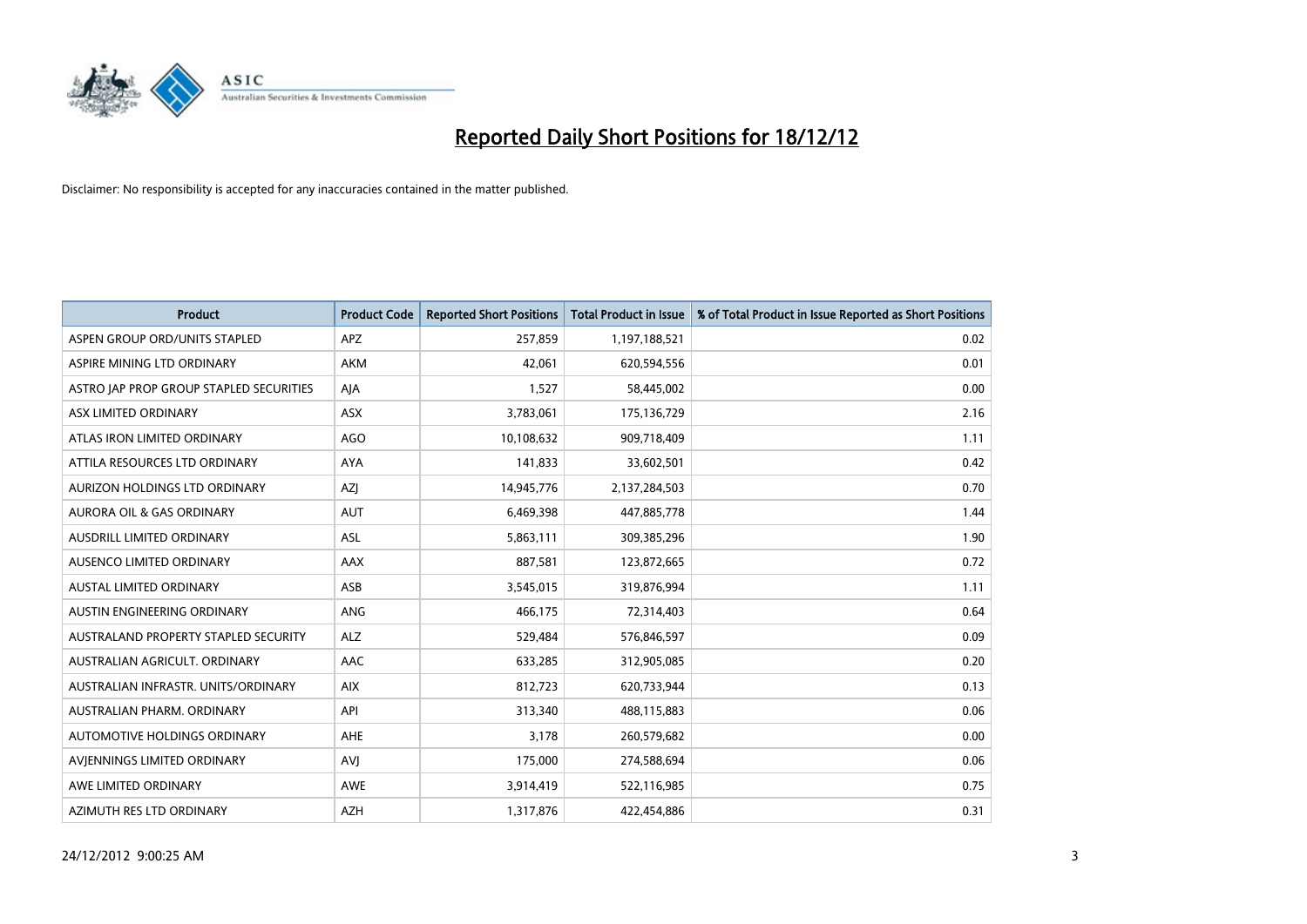

| <b>Product</b>                          | <b>Product Code</b> | <b>Reported Short Positions</b> | <b>Total Product in Issue</b> | % of Total Product in Issue Reported as Short Positions |
|-----------------------------------------|---------------------|---------------------------------|-------------------------------|---------------------------------------------------------|
| ASPEN GROUP ORD/UNITS STAPLED           | <b>APZ</b>          | 257,859                         | 1,197,188,521                 | 0.02                                                    |
| ASPIRE MINING LTD ORDINARY              | <b>AKM</b>          | 42,061                          | 620,594,556                   | 0.01                                                    |
| ASTRO JAP PROP GROUP STAPLED SECURITIES | AJA                 | 1,527                           | 58,445,002                    | 0.00                                                    |
| ASX LIMITED ORDINARY                    | <b>ASX</b>          | 3,783,061                       | 175,136,729                   | 2.16                                                    |
| ATLAS IRON LIMITED ORDINARY             | <b>AGO</b>          | 10,108,632                      | 909,718,409                   | 1.11                                                    |
| ATTILA RESOURCES LTD ORDINARY           | <b>AYA</b>          | 141,833                         | 33,602,501                    | 0.42                                                    |
| AURIZON HOLDINGS LTD ORDINARY           | AZI                 | 14,945,776                      | 2,137,284,503                 | 0.70                                                    |
| AURORA OIL & GAS ORDINARY               | <b>AUT</b>          | 6,469,398                       | 447,885,778                   | 1.44                                                    |
| AUSDRILL LIMITED ORDINARY               | <b>ASL</b>          | 5,863,111                       | 309,385,296                   | 1.90                                                    |
| AUSENCO LIMITED ORDINARY                | <b>AAX</b>          | 887,581                         | 123,872,665                   | 0.72                                                    |
| AUSTAL LIMITED ORDINARY                 | ASB                 | 3,545,015                       | 319,876,994                   | 1.11                                                    |
| AUSTIN ENGINEERING ORDINARY             | ANG                 | 466,175                         | 72,314,403                    | 0.64                                                    |
| AUSTRALAND PROPERTY STAPLED SECURITY    | <b>ALZ</b>          | 529,484                         | 576,846,597                   | 0.09                                                    |
| AUSTRALIAN AGRICULT, ORDINARY           | AAC                 | 633,285                         | 312,905,085                   | 0.20                                                    |
| AUSTRALIAN INFRASTR, UNITS/ORDINARY     | <b>AIX</b>          | 812,723                         | 620,733,944                   | 0.13                                                    |
| AUSTRALIAN PHARM. ORDINARY              | API                 | 313,340                         | 488,115,883                   | 0.06                                                    |
| AUTOMOTIVE HOLDINGS ORDINARY            | AHE                 | 3,178                           | 260,579,682                   | 0.00                                                    |
| AVIENNINGS LIMITED ORDINARY             | AVJ                 | 175,000                         | 274,588,694                   | 0.06                                                    |
| AWE LIMITED ORDINARY                    | <b>AWE</b>          | 3,914,419                       | 522,116,985                   | 0.75                                                    |
| AZIMUTH RES LTD ORDINARY                | <b>AZH</b>          | 1,317,876                       | 422,454,886                   | 0.31                                                    |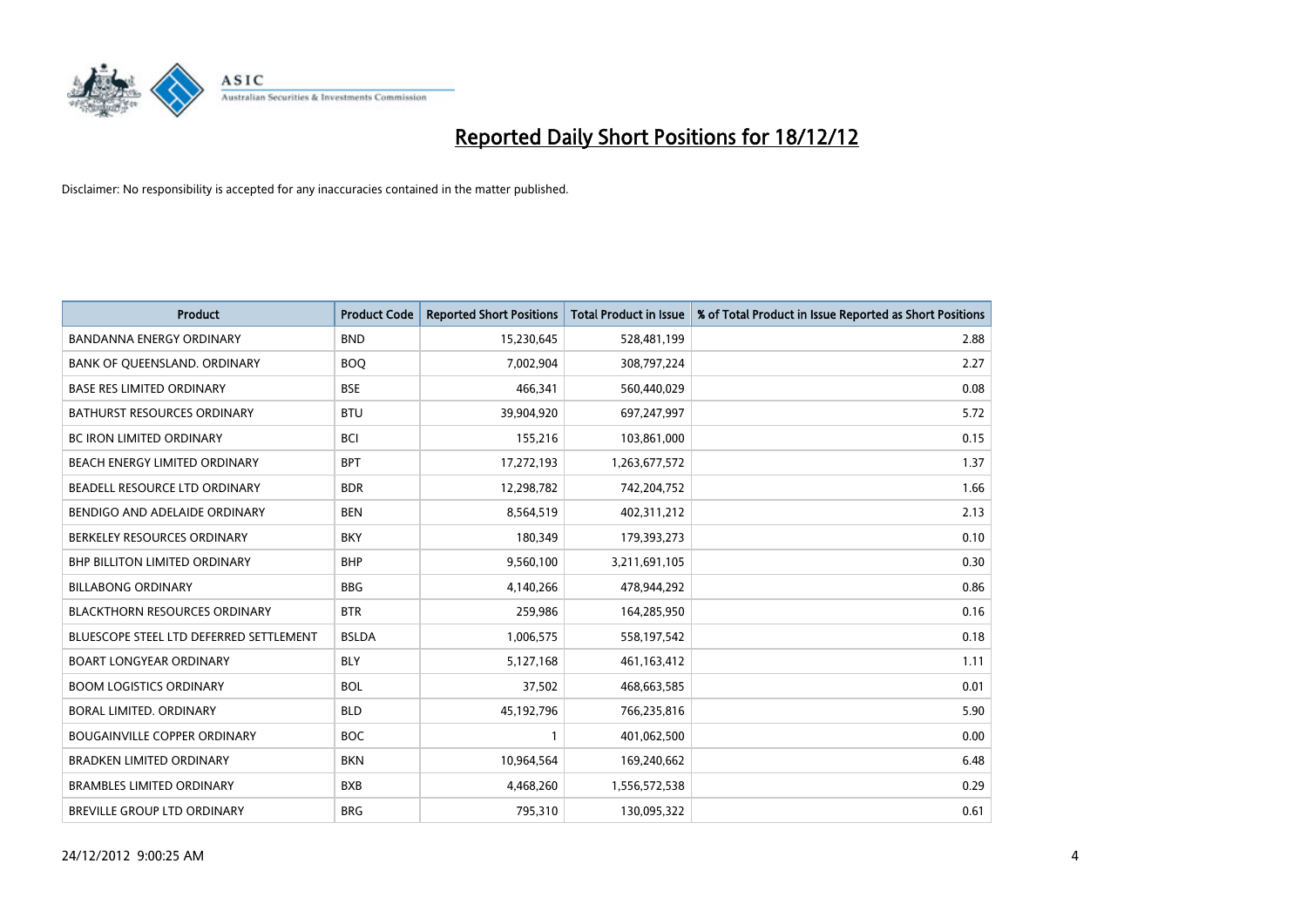

| <b>Product</b>                          | <b>Product Code</b> | <b>Reported Short Positions</b> | <b>Total Product in Issue</b> | % of Total Product in Issue Reported as Short Positions |
|-----------------------------------------|---------------------|---------------------------------|-------------------------------|---------------------------------------------------------|
| <b>BANDANNA ENERGY ORDINARY</b>         | <b>BND</b>          | 15,230,645                      | 528,481,199                   | 2.88                                                    |
| BANK OF QUEENSLAND. ORDINARY            | <b>BOQ</b>          | 7,002,904                       | 308,797,224                   | 2.27                                                    |
| <b>BASE RES LIMITED ORDINARY</b>        | <b>BSE</b>          | 466,341                         | 560,440,029                   | 0.08                                                    |
| BATHURST RESOURCES ORDINARY             | <b>BTU</b>          | 39,904,920                      | 697,247,997                   | 5.72                                                    |
| <b>BC IRON LIMITED ORDINARY</b>         | <b>BCI</b>          | 155,216                         | 103,861,000                   | 0.15                                                    |
| <b>BEACH ENERGY LIMITED ORDINARY</b>    | <b>BPT</b>          | 17,272,193                      | 1,263,677,572                 | 1.37                                                    |
| BEADELL RESOURCE LTD ORDINARY           | <b>BDR</b>          | 12,298,782                      | 742,204,752                   | 1.66                                                    |
| BENDIGO AND ADELAIDE ORDINARY           | <b>BEN</b>          | 8,564,519                       | 402,311,212                   | 2.13                                                    |
| BERKELEY RESOURCES ORDINARY             | <b>BKY</b>          | 180,349                         | 179,393,273                   | 0.10                                                    |
| <b>BHP BILLITON LIMITED ORDINARY</b>    | <b>BHP</b>          | 9,560,100                       | 3,211,691,105                 | 0.30                                                    |
| <b>BILLABONG ORDINARY</b>               | <b>BBG</b>          | 4,140,266                       | 478,944,292                   | 0.86                                                    |
| <b>BLACKTHORN RESOURCES ORDINARY</b>    | <b>BTR</b>          | 259,986                         | 164,285,950                   | 0.16                                                    |
| BLUESCOPE STEEL LTD DEFERRED SETTLEMENT | <b>BSLDA</b>        | 1,006,575                       | 558,197,542                   | 0.18                                                    |
| BOART LONGYEAR ORDINARY                 | <b>BLY</b>          | 5,127,168                       | 461,163,412                   | 1.11                                                    |
| <b>BOOM LOGISTICS ORDINARY</b>          | <b>BOL</b>          | 37,502                          | 468,663,585                   | 0.01                                                    |
| BORAL LIMITED. ORDINARY                 | <b>BLD</b>          | 45,192,796                      | 766,235,816                   | 5.90                                                    |
| <b>BOUGAINVILLE COPPER ORDINARY</b>     | <b>BOC</b>          |                                 | 401,062,500                   | 0.00                                                    |
| <b>BRADKEN LIMITED ORDINARY</b>         | <b>BKN</b>          | 10,964,564                      | 169,240,662                   | 6.48                                                    |
| <b>BRAMBLES LIMITED ORDINARY</b>        | <b>BXB</b>          | 4,468,260                       | 1,556,572,538                 | 0.29                                                    |
| BREVILLE GROUP LTD ORDINARY             | <b>BRG</b>          | 795,310                         | 130,095,322                   | 0.61                                                    |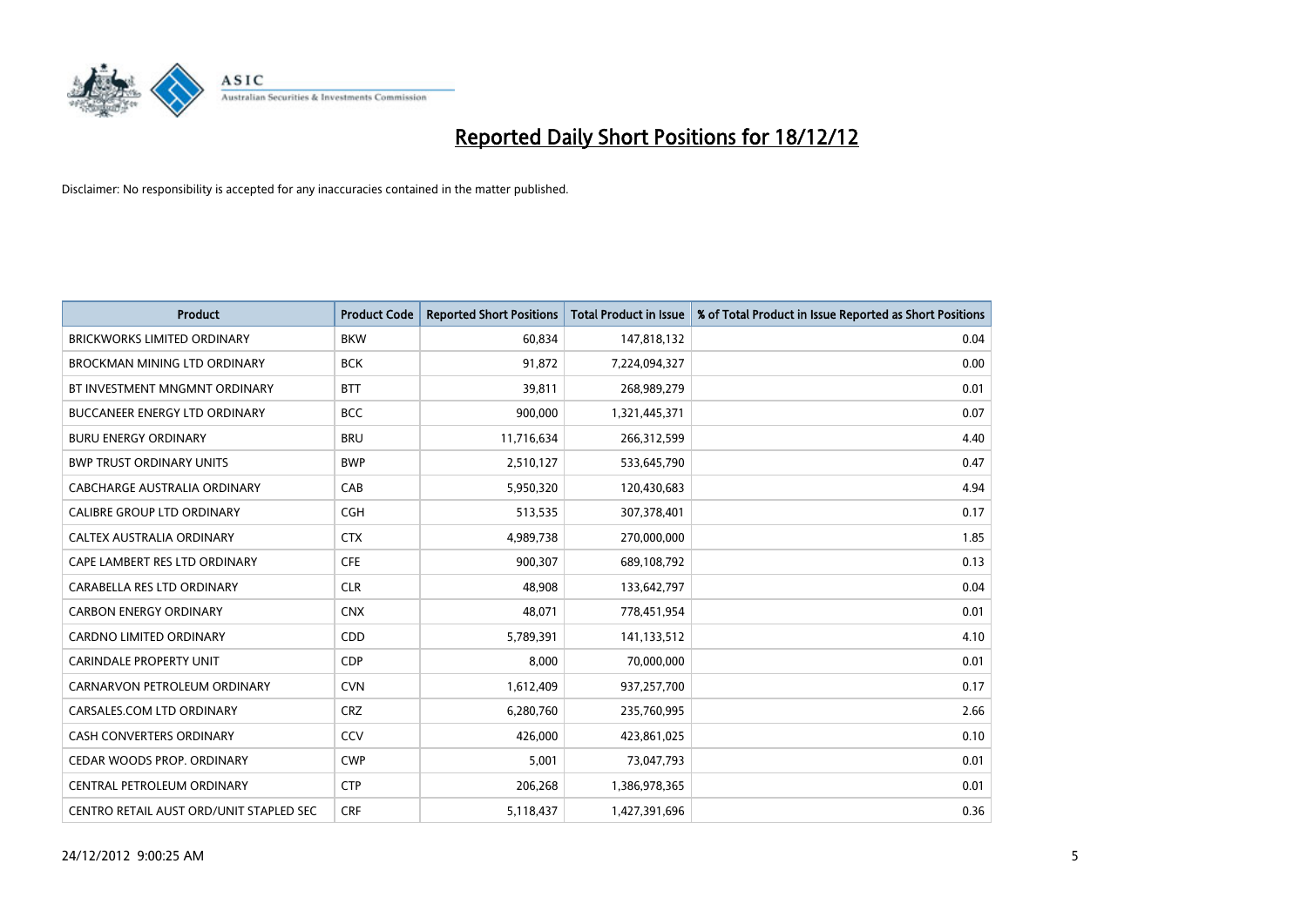

| <b>Product</b>                          | <b>Product Code</b> | <b>Reported Short Positions</b> | <b>Total Product in Issue</b> | % of Total Product in Issue Reported as Short Positions |
|-----------------------------------------|---------------------|---------------------------------|-------------------------------|---------------------------------------------------------|
| <b>BRICKWORKS LIMITED ORDINARY</b>      | <b>BKW</b>          | 60,834                          | 147,818,132                   | 0.04                                                    |
| BROCKMAN MINING LTD ORDINARY            | <b>BCK</b>          | 91,872                          | 7,224,094,327                 | 0.00                                                    |
| BT INVESTMENT MNGMNT ORDINARY           | <b>BTT</b>          | 39,811                          | 268,989,279                   | 0.01                                                    |
| BUCCANEER ENERGY LTD ORDINARY           | <b>BCC</b>          | 900,000                         | 1,321,445,371                 | 0.07                                                    |
| <b>BURU ENERGY ORDINARY</b>             | <b>BRU</b>          | 11,716,634                      | 266,312,599                   | 4.40                                                    |
| <b>BWP TRUST ORDINARY UNITS</b>         | <b>BWP</b>          | 2,510,127                       | 533,645,790                   | 0.47                                                    |
| <b>CABCHARGE AUSTRALIA ORDINARY</b>     | CAB                 | 5,950,320                       | 120,430,683                   | 4.94                                                    |
| CALIBRE GROUP LTD ORDINARY              | <b>CGH</b>          | 513,535                         | 307,378,401                   | 0.17                                                    |
| CALTEX AUSTRALIA ORDINARY               | <b>CTX</b>          | 4,989,738                       | 270,000,000                   | 1.85                                                    |
| CAPE LAMBERT RES LTD ORDINARY           | <b>CFE</b>          | 900,307                         | 689,108,792                   | 0.13                                                    |
| CARABELLA RES LTD ORDINARY              | <b>CLR</b>          | 48,908                          | 133,642,797                   | 0.04                                                    |
| <b>CARBON ENERGY ORDINARY</b>           | <b>CNX</b>          | 48,071                          | 778,451,954                   | 0.01                                                    |
| <b>CARDNO LIMITED ORDINARY</b>          | CDD                 | 5,789,391                       | 141,133,512                   | 4.10                                                    |
| <b>CARINDALE PROPERTY UNIT</b>          | <b>CDP</b>          | 8,000                           | 70,000,000                    | 0.01                                                    |
| CARNARVON PETROLEUM ORDINARY            | <b>CVN</b>          | 1,612,409                       | 937,257,700                   | 0.17                                                    |
| CARSALES.COM LTD ORDINARY               | <b>CRZ</b>          | 6,280,760                       | 235,760,995                   | 2.66                                                    |
| <b>CASH CONVERTERS ORDINARY</b>         | CCV                 | 426,000                         | 423,861,025                   | 0.10                                                    |
| CEDAR WOODS PROP. ORDINARY              | <b>CWP</b>          | 5,001                           | 73,047,793                    | 0.01                                                    |
| CENTRAL PETROLEUM ORDINARY              | <b>CTP</b>          | 206,268                         | 1,386,978,365                 | 0.01                                                    |
| CENTRO RETAIL AUST ORD/UNIT STAPLED SEC | <b>CRF</b>          | 5,118,437                       | 1,427,391,696                 | 0.36                                                    |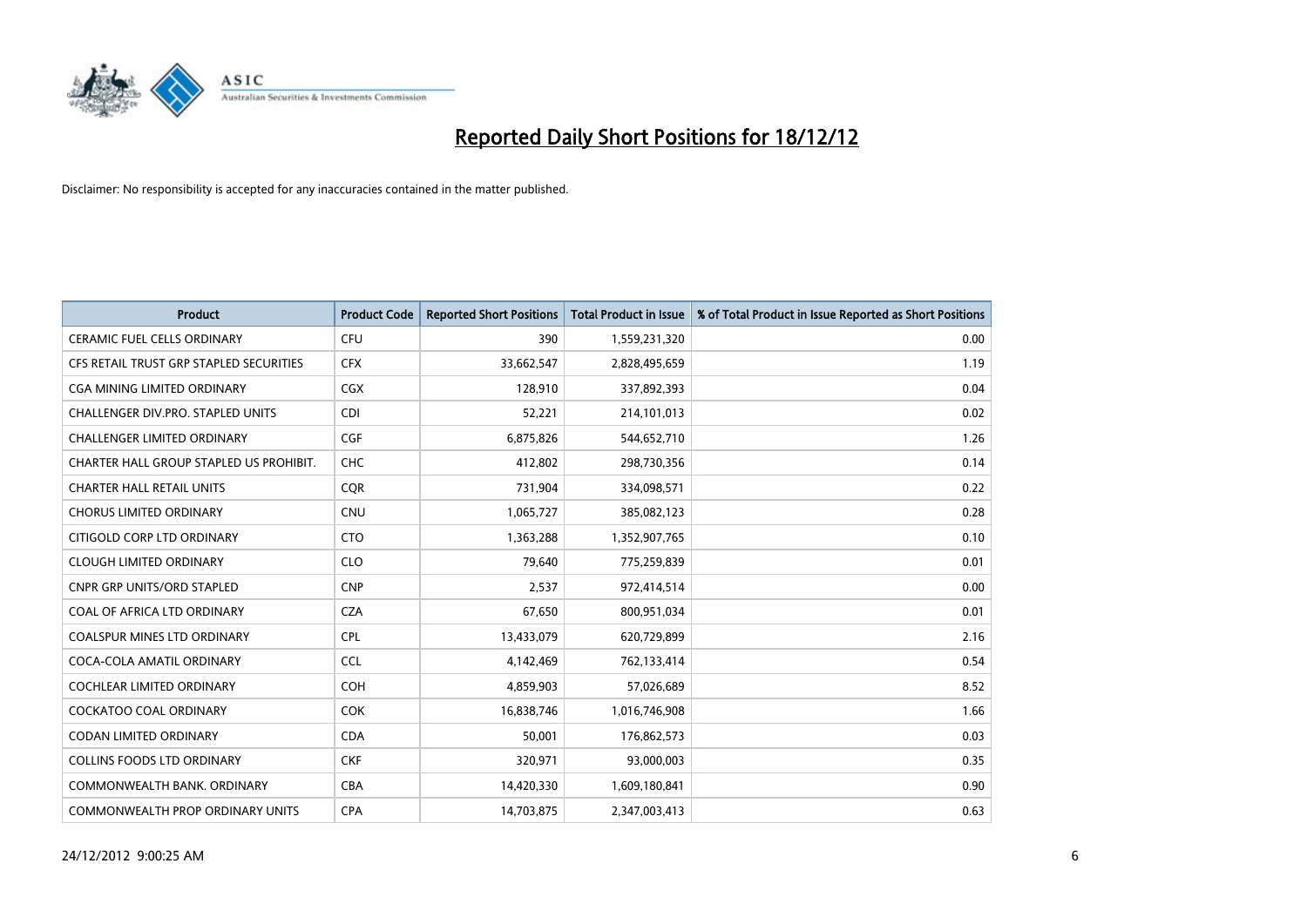

| <b>Product</b>                          | <b>Product Code</b> | <b>Reported Short Positions</b> | <b>Total Product in Issue</b> | % of Total Product in Issue Reported as Short Positions |
|-----------------------------------------|---------------------|---------------------------------|-------------------------------|---------------------------------------------------------|
| <b>CERAMIC FUEL CELLS ORDINARY</b>      | CFU                 | 390                             | 1,559,231,320                 | 0.00                                                    |
| CFS RETAIL TRUST GRP STAPLED SECURITIES | <b>CFX</b>          | 33,662,547                      | 2,828,495,659                 | 1.19                                                    |
| <b>CGA MINING LIMITED ORDINARY</b>      | <b>CGX</b>          | 128,910                         | 337,892,393                   | 0.04                                                    |
| CHALLENGER DIV.PRO. STAPLED UNITS       | <b>CDI</b>          | 52,221                          | 214,101,013                   | 0.02                                                    |
| <b>CHALLENGER LIMITED ORDINARY</b>      | <b>CGF</b>          | 6,875,826                       | 544,652,710                   | 1.26                                                    |
| CHARTER HALL GROUP STAPLED US PROHIBIT. | <b>CHC</b>          | 412,802                         | 298,730,356                   | 0.14                                                    |
| <b>CHARTER HALL RETAIL UNITS</b>        | <b>CQR</b>          | 731,904                         | 334,098,571                   | 0.22                                                    |
| <b>CHORUS LIMITED ORDINARY</b>          | <b>CNU</b>          | 1,065,727                       | 385,082,123                   | 0.28                                                    |
| CITIGOLD CORP LTD ORDINARY              | <b>CTO</b>          | 1,363,288                       | 1,352,907,765                 | 0.10                                                    |
| <b>CLOUGH LIMITED ORDINARY</b>          | <b>CLO</b>          | 79,640                          | 775,259,839                   | 0.01                                                    |
| <b>CNPR GRP UNITS/ORD STAPLED</b>       | <b>CNP</b>          | 2,537                           | 972,414,514                   | 0.00                                                    |
| COAL OF AFRICA LTD ORDINARY             | <b>CZA</b>          | 67,650                          | 800,951,034                   | 0.01                                                    |
| <b>COALSPUR MINES LTD ORDINARY</b>      | <b>CPL</b>          | 13,433,079                      | 620,729,899                   | 2.16                                                    |
| COCA-COLA AMATIL ORDINARY               | <b>CCL</b>          | 4,142,469                       | 762,133,414                   | 0.54                                                    |
| <b>COCHLEAR LIMITED ORDINARY</b>        | <b>COH</b>          | 4,859,903                       | 57,026,689                    | 8.52                                                    |
| COCKATOO COAL ORDINARY                  | <b>COK</b>          | 16,838,746                      | 1,016,746,908                 | 1.66                                                    |
| <b>CODAN LIMITED ORDINARY</b>           | <b>CDA</b>          | 50,001                          | 176,862,573                   | 0.03                                                    |
| <b>COLLINS FOODS LTD ORDINARY</b>       | <b>CKF</b>          | 320,971                         | 93,000,003                    | 0.35                                                    |
| COMMONWEALTH BANK, ORDINARY             | CBA                 | 14,420,330                      | 1,609,180,841                 | 0.90                                                    |
| COMMONWEALTH PROP ORDINARY UNITS        | <b>CPA</b>          | 14.703.875                      | 2,347,003,413                 | 0.63                                                    |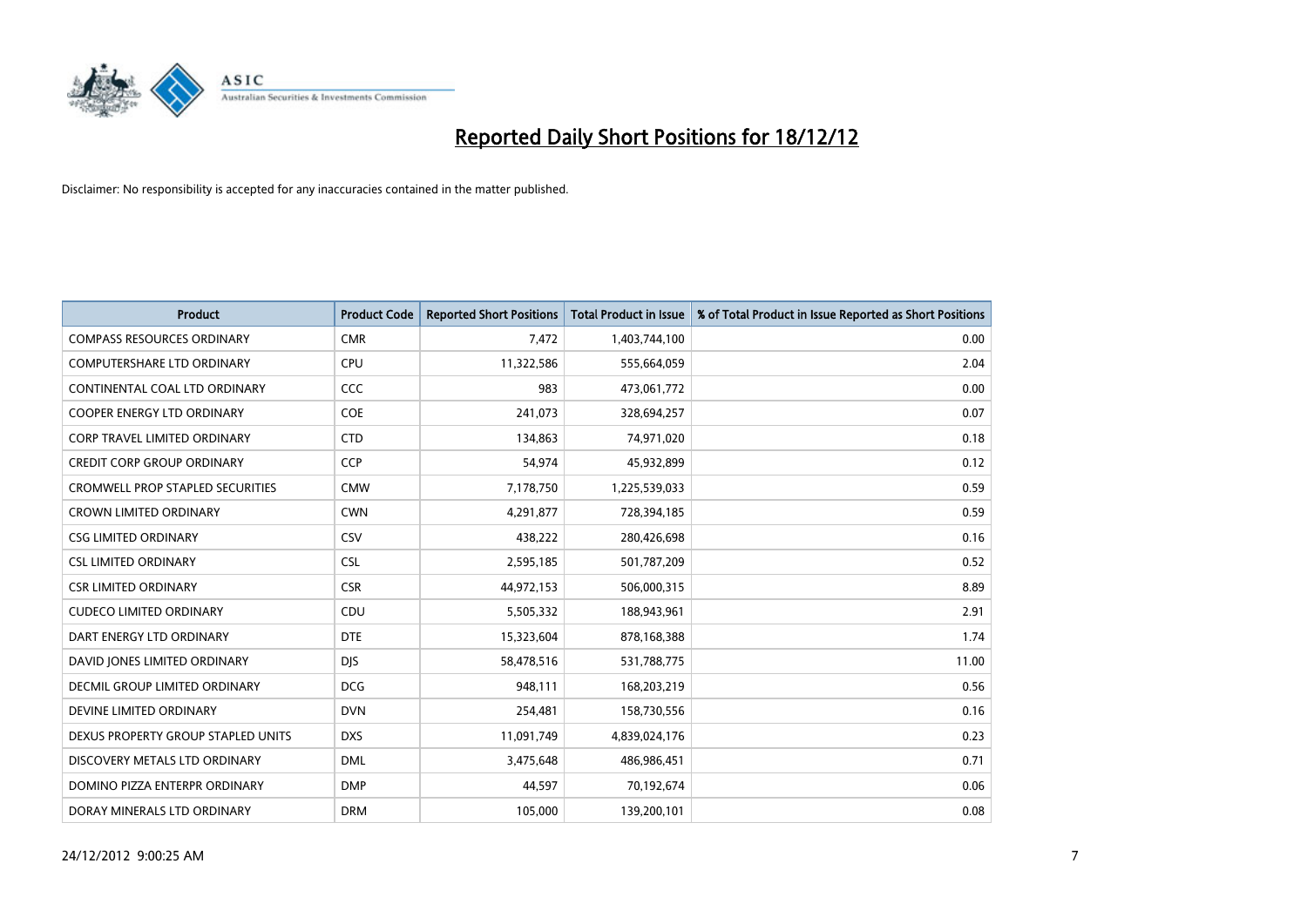

| <b>Product</b>                          | <b>Product Code</b> | <b>Reported Short Positions</b> | Total Product in Issue | % of Total Product in Issue Reported as Short Positions |
|-----------------------------------------|---------------------|---------------------------------|------------------------|---------------------------------------------------------|
| <b>COMPASS RESOURCES ORDINARY</b>       | <b>CMR</b>          | 7,472                           | 1,403,744,100          | 0.00                                                    |
| COMPUTERSHARE LTD ORDINARY              | <b>CPU</b>          | 11,322,586                      | 555,664,059            | 2.04                                                    |
| CONTINENTAL COAL LTD ORDINARY           | <b>CCC</b>          | 983                             | 473,061,772            | 0.00                                                    |
| COOPER ENERGY LTD ORDINARY              | <b>COE</b>          | 241,073                         | 328,694,257            | 0.07                                                    |
| <b>CORP TRAVEL LIMITED ORDINARY</b>     | <b>CTD</b>          | 134,863                         | 74,971,020             | 0.18                                                    |
| <b>CREDIT CORP GROUP ORDINARY</b>       | <b>CCP</b>          | 54,974                          | 45,932,899             | 0.12                                                    |
| <b>CROMWELL PROP STAPLED SECURITIES</b> | <b>CMW</b>          | 7,178,750                       | 1,225,539,033          | 0.59                                                    |
| <b>CROWN LIMITED ORDINARY</b>           | <b>CWN</b>          | 4,291,877                       | 728,394,185            | 0.59                                                    |
| <b>CSG LIMITED ORDINARY</b>             | CSV                 | 438,222                         | 280,426,698            | 0.16                                                    |
| <b>CSL LIMITED ORDINARY</b>             | <b>CSL</b>          | 2,595,185                       | 501,787,209            | 0.52                                                    |
| <b>CSR LIMITED ORDINARY</b>             | <b>CSR</b>          | 44,972,153                      | 506,000,315            | 8.89                                                    |
| <b>CUDECO LIMITED ORDINARY</b>          | CDU                 | 5,505,332                       | 188,943,961            | 2.91                                                    |
| DART ENERGY LTD ORDINARY                | <b>DTE</b>          | 15,323,604                      | 878,168,388            | 1.74                                                    |
| DAVID JONES LIMITED ORDINARY            | <b>DIS</b>          | 58,478,516                      | 531,788,775            | 11.00                                                   |
| DECMIL GROUP LIMITED ORDINARY           | <b>DCG</b>          | 948,111                         | 168,203,219            | 0.56                                                    |
| DEVINE LIMITED ORDINARY                 | <b>DVN</b>          | 254,481                         | 158,730,556            | 0.16                                                    |
| DEXUS PROPERTY GROUP STAPLED UNITS      | <b>DXS</b>          | 11,091,749                      | 4,839,024,176          | 0.23                                                    |
| DISCOVERY METALS LTD ORDINARY           | <b>DML</b>          | 3,475,648                       | 486,986,451            | 0.71                                                    |
| DOMINO PIZZA ENTERPR ORDINARY           | <b>DMP</b>          | 44,597                          | 70,192,674             | 0.06                                                    |
| DORAY MINERALS LTD ORDINARY             | <b>DRM</b>          | 105.000                         | 139,200,101            | 0.08                                                    |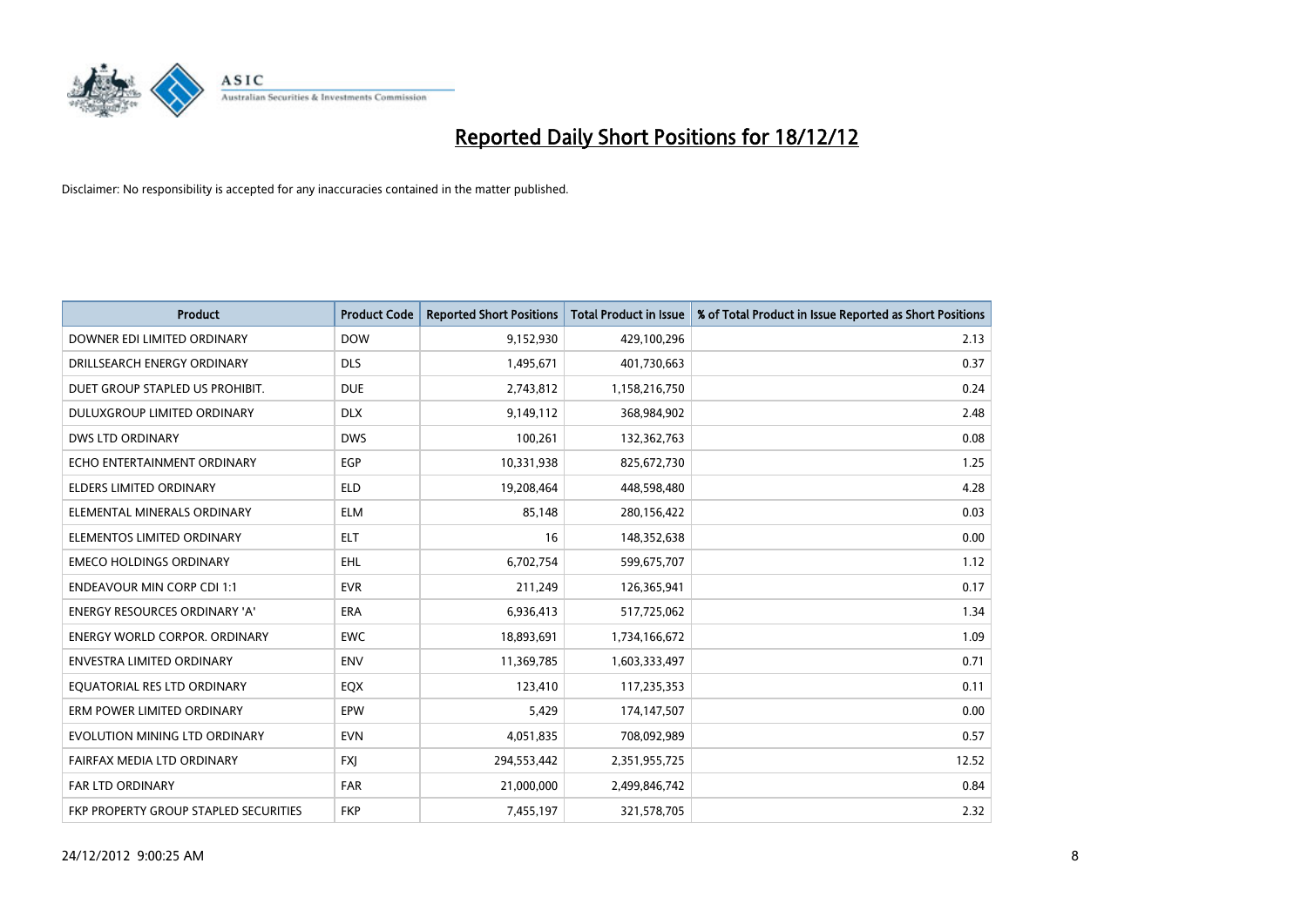

| <b>Product</b>                               | <b>Product Code</b> | <b>Reported Short Positions</b> | <b>Total Product in Issue</b> | % of Total Product in Issue Reported as Short Positions |
|----------------------------------------------|---------------------|---------------------------------|-------------------------------|---------------------------------------------------------|
| DOWNER EDI LIMITED ORDINARY                  | <b>DOW</b>          | 9,152,930                       | 429,100,296                   | 2.13                                                    |
| DRILLSEARCH ENERGY ORDINARY                  | <b>DLS</b>          | 1,495,671                       | 401,730,663                   | 0.37                                                    |
| DUET GROUP STAPLED US PROHIBIT.              | <b>DUE</b>          | 2,743,812                       | 1,158,216,750                 | 0.24                                                    |
| DULUXGROUP LIMITED ORDINARY                  | <b>DLX</b>          | 9,149,112                       | 368,984,902                   | 2.48                                                    |
| <b>DWS LTD ORDINARY</b>                      | <b>DWS</b>          | 100,261                         | 132,362,763                   | 0.08                                                    |
| ECHO ENTERTAINMENT ORDINARY                  | EGP                 | 10,331,938                      | 825,672,730                   | 1.25                                                    |
| <b>ELDERS LIMITED ORDINARY</b>               | <b>ELD</b>          | 19,208,464                      | 448,598,480                   | 4.28                                                    |
| ELEMENTAL MINERALS ORDINARY                  | <b>ELM</b>          | 85,148                          | 280,156,422                   | 0.03                                                    |
| ELEMENTOS LIMITED ORDINARY                   | <b>ELT</b>          | 16                              | 148,352,638                   | 0.00                                                    |
| <b>EMECO HOLDINGS ORDINARY</b>               | <b>EHL</b>          | 6,702,754                       | 599,675,707                   | 1.12                                                    |
| <b>ENDEAVOUR MIN CORP CDI 1:1</b>            | <b>EVR</b>          | 211,249                         | 126,365,941                   | 0.17                                                    |
| <b>ENERGY RESOURCES ORDINARY 'A'</b>         | <b>ERA</b>          | 6,936,413                       | 517,725,062                   | 1.34                                                    |
| <b>ENERGY WORLD CORPOR, ORDINARY</b>         | <b>EWC</b>          | 18,893,691                      | 1,734,166,672                 | 1.09                                                    |
| <b>ENVESTRA LIMITED ORDINARY</b>             | <b>ENV</b>          | 11,369,785                      | 1,603,333,497                 | 0.71                                                    |
| EQUATORIAL RES LTD ORDINARY                  | EQX                 | 123,410                         | 117,235,353                   | 0.11                                                    |
| ERM POWER LIMITED ORDINARY                   | EPW                 | 5,429                           | 174,147,507                   | 0.00                                                    |
| EVOLUTION MINING LTD ORDINARY                | <b>EVN</b>          | 4,051,835                       | 708,092,989                   | 0.57                                                    |
| FAIRFAX MEDIA LTD ORDINARY                   | <b>FXI</b>          | 294,553,442                     | 2,351,955,725                 | 12.52                                                   |
| <b>FAR LTD ORDINARY</b>                      | <b>FAR</b>          | 21,000,000                      | 2,499,846,742                 | 0.84                                                    |
| <b>FKP PROPERTY GROUP STAPLED SECURITIES</b> | <b>FKP</b>          | 7,455,197                       | 321,578,705                   | 2.32                                                    |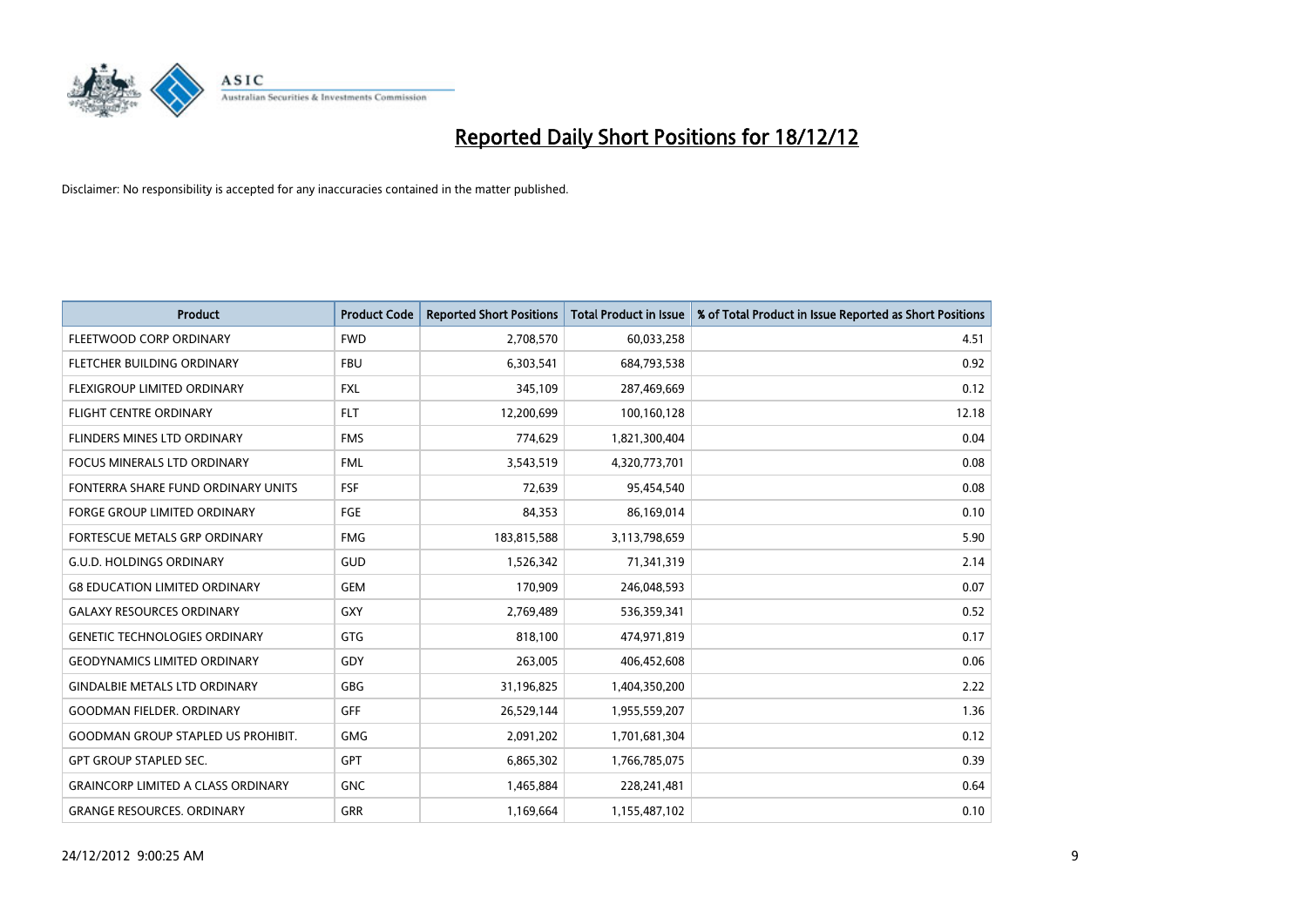

| <b>Product</b>                            | <b>Product Code</b> | <b>Reported Short Positions</b> | <b>Total Product in Issue</b> | % of Total Product in Issue Reported as Short Positions |
|-------------------------------------------|---------------------|---------------------------------|-------------------------------|---------------------------------------------------------|
| FLEETWOOD CORP ORDINARY                   | <b>FWD</b>          | 2,708,570                       | 60,033,258                    | 4.51                                                    |
| FLETCHER BUILDING ORDINARY                | <b>FBU</b>          | 6,303,541                       | 684,793,538                   | 0.92                                                    |
| <b>FLEXIGROUP LIMITED ORDINARY</b>        | <b>FXL</b>          | 345,109                         | 287,469,669                   | 0.12                                                    |
| FLIGHT CENTRE ORDINARY                    | <b>FLT</b>          | 12,200,699                      | 100,160,128                   | 12.18                                                   |
| FLINDERS MINES LTD ORDINARY               | <b>FMS</b>          | 774,629                         | 1,821,300,404                 | 0.04                                                    |
| <b>FOCUS MINERALS LTD ORDINARY</b>        | <b>FML</b>          | 3,543,519                       | 4,320,773,701                 | 0.08                                                    |
| FONTERRA SHARE FUND ORDINARY UNITS        | FSF                 | 72.639                          | 95,454,540                    | 0.08                                                    |
| FORGE GROUP LIMITED ORDINARY              | FGE                 | 84,353                          | 86,169,014                    | 0.10                                                    |
| FORTESCUE METALS GRP ORDINARY             | <b>FMG</b>          | 183,815,588                     | 3,113,798,659                 | 5.90                                                    |
| <b>G.U.D. HOLDINGS ORDINARY</b>           | GUD                 | 1,526,342                       | 71,341,319                    | 2.14                                                    |
| <b>G8 EDUCATION LIMITED ORDINARY</b>      | <b>GEM</b>          | 170,909                         | 246,048,593                   | 0.07                                                    |
| <b>GALAXY RESOURCES ORDINARY</b>          | <b>GXY</b>          | 2,769,489                       | 536,359,341                   | 0.52                                                    |
| <b>GENETIC TECHNOLOGIES ORDINARY</b>      | <b>GTG</b>          | 818,100                         | 474,971,819                   | 0.17                                                    |
| <b>GEODYNAMICS LIMITED ORDINARY</b>       | GDY                 | 263,005                         | 406,452,608                   | 0.06                                                    |
| <b>GINDALBIE METALS LTD ORDINARY</b>      | <b>GBG</b>          | 31,196,825                      | 1,404,350,200                 | 2.22                                                    |
| <b>GOODMAN FIELDER. ORDINARY</b>          | <b>GFF</b>          | 26,529,144                      | 1,955,559,207                 | 1.36                                                    |
| <b>GOODMAN GROUP STAPLED US PROHIBIT.</b> | <b>GMG</b>          | 2,091,202                       | 1,701,681,304                 | 0.12                                                    |
| <b>GPT GROUP STAPLED SEC.</b>             | <b>GPT</b>          | 6,865,302                       | 1,766,785,075                 | 0.39                                                    |
| <b>GRAINCORP LIMITED A CLASS ORDINARY</b> | <b>GNC</b>          | 1,465,884                       | 228,241,481                   | 0.64                                                    |
| <b>GRANGE RESOURCES, ORDINARY</b>         | <b>GRR</b>          | 1,169,664                       | 1,155,487,102                 | 0.10                                                    |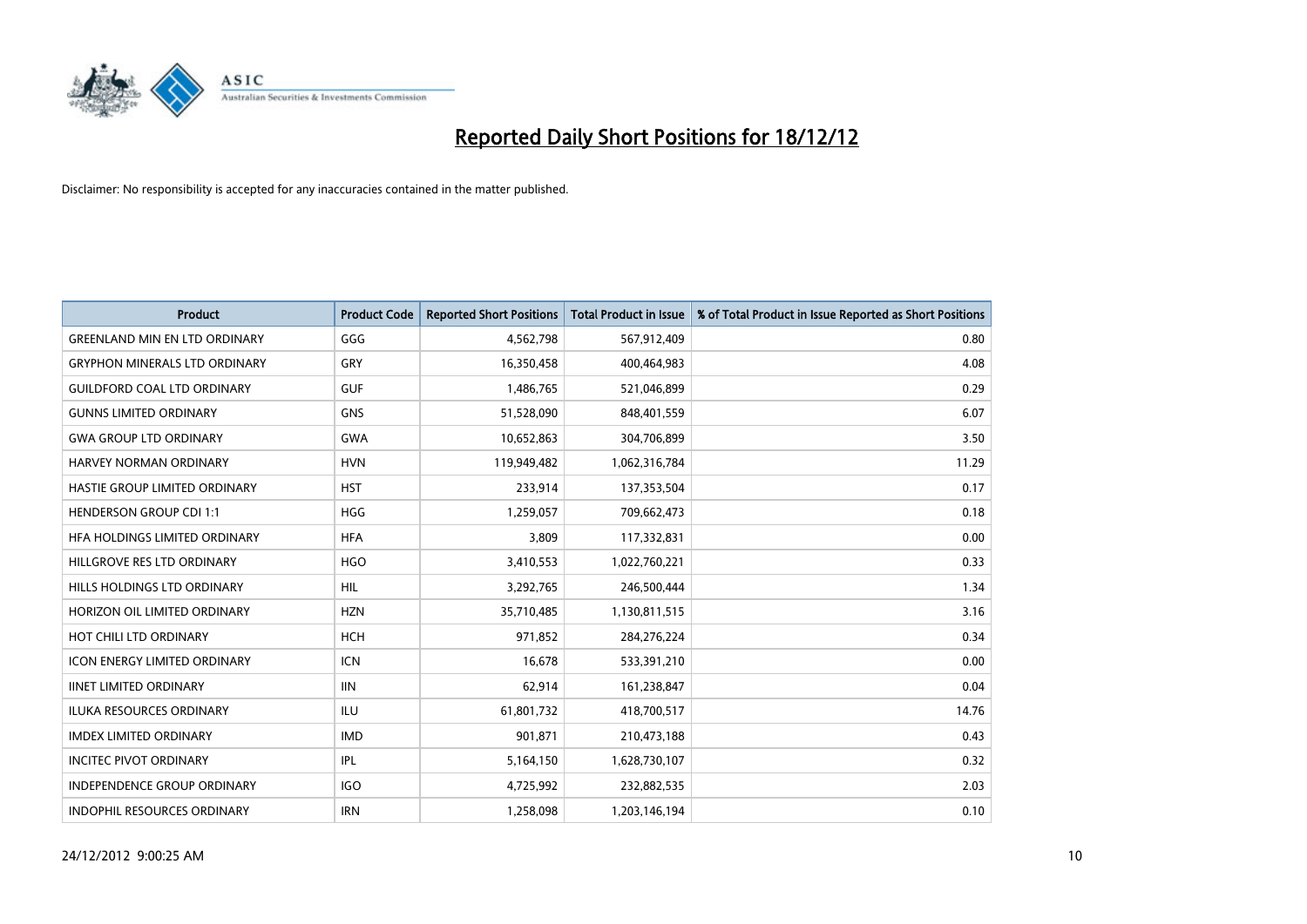

| <b>Product</b>                       | <b>Product Code</b> | <b>Reported Short Positions</b> | <b>Total Product in Issue</b> | % of Total Product in Issue Reported as Short Positions |
|--------------------------------------|---------------------|---------------------------------|-------------------------------|---------------------------------------------------------|
| <b>GREENLAND MIN EN LTD ORDINARY</b> | GGG                 | 4,562,798                       | 567,912,409                   | 0.80                                                    |
| <b>GRYPHON MINERALS LTD ORDINARY</b> | GRY                 | 16,350,458                      | 400,464,983                   | 4.08                                                    |
| <b>GUILDFORD COAL LTD ORDINARY</b>   | <b>GUF</b>          | 1,486,765                       | 521,046,899                   | 0.29                                                    |
| <b>GUNNS LIMITED ORDINARY</b>        | <b>GNS</b>          | 51,528,090                      | 848,401,559                   | 6.07                                                    |
| <b>GWA GROUP LTD ORDINARY</b>        | <b>GWA</b>          | 10,652,863                      | 304,706,899                   | 3.50                                                    |
| HARVEY NORMAN ORDINARY               | <b>HVN</b>          | 119,949,482                     | 1,062,316,784                 | 11.29                                                   |
| HASTIE GROUP LIMITED ORDINARY        | <b>HST</b>          | 233,914                         | 137,353,504                   | 0.17                                                    |
| <b>HENDERSON GROUP CDI 1:1</b>       | <b>HGG</b>          | 1,259,057                       | 709,662,473                   | 0.18                                                    |
| HFA HOLDINGS LIMITED ORDINARY        | <b>HFA</b>          | 3,809                           | 117,332,831                   | 0.00                                                    |
| HILLGROVE RES LTD ORDINARY           | <b>HGO</b>          | 3,410,553                       | 1,022,760,221                 | 0.33                                                    |
| HILLS HOLDINGS LTD ORDINARY          | <b>HIL</b>          | 3,292,765                       | 246,500,444                   | 1.34                                                    |
| HORIZON OIL LIMITED ORDINARY         | <b>HZN</b>          | 35,710,485                      | 1,130,811,515                 | 3.16                                                    |
| HOT CHILI LTD ORDINARY               | <b>HCH</b>          | 971,852                         | 284,276,224                   | 0.34                                                    |
| <b>ICON ENERGY LIMITED ORDINARY</b>  | <b>ICN</b>          | 16,678                          | 533,391,210                   | 0.00                                                    |
| <b>IINET LIMITED ORDINARY</b>        | <b>IIN</b>          | 62,914                          | 161,238,847                   | 0.04                                                    |
| ILUKA RESOURCES ORDINARY             | ILU                 | 61,801,732                      | 418,700,517                   | 14.76                                                   |
| <b>IMDEX LIMITED ORDINARY</b>        | <b>IMD</b>          | 901,871                         | 210,473,188                   | 0.43                                                    |
| <b>INCITEC PIVOT ORDINARY</b>        | IPL                 | 5,164,150                       | 1,628,730,107                 | 0.32                                                    |
| <b>INDEPENDENCE GROUP ORDINARY</b>   | <b>IGO</b>          | 4,725,992                       | 232,882,535                   | 2.03                                                    |
| INDOPHIL RESOURCES ORDINARY          | <b>IRN</b>          | 1,258,098                       | 1,203,146,194                 | 0.10                                                    |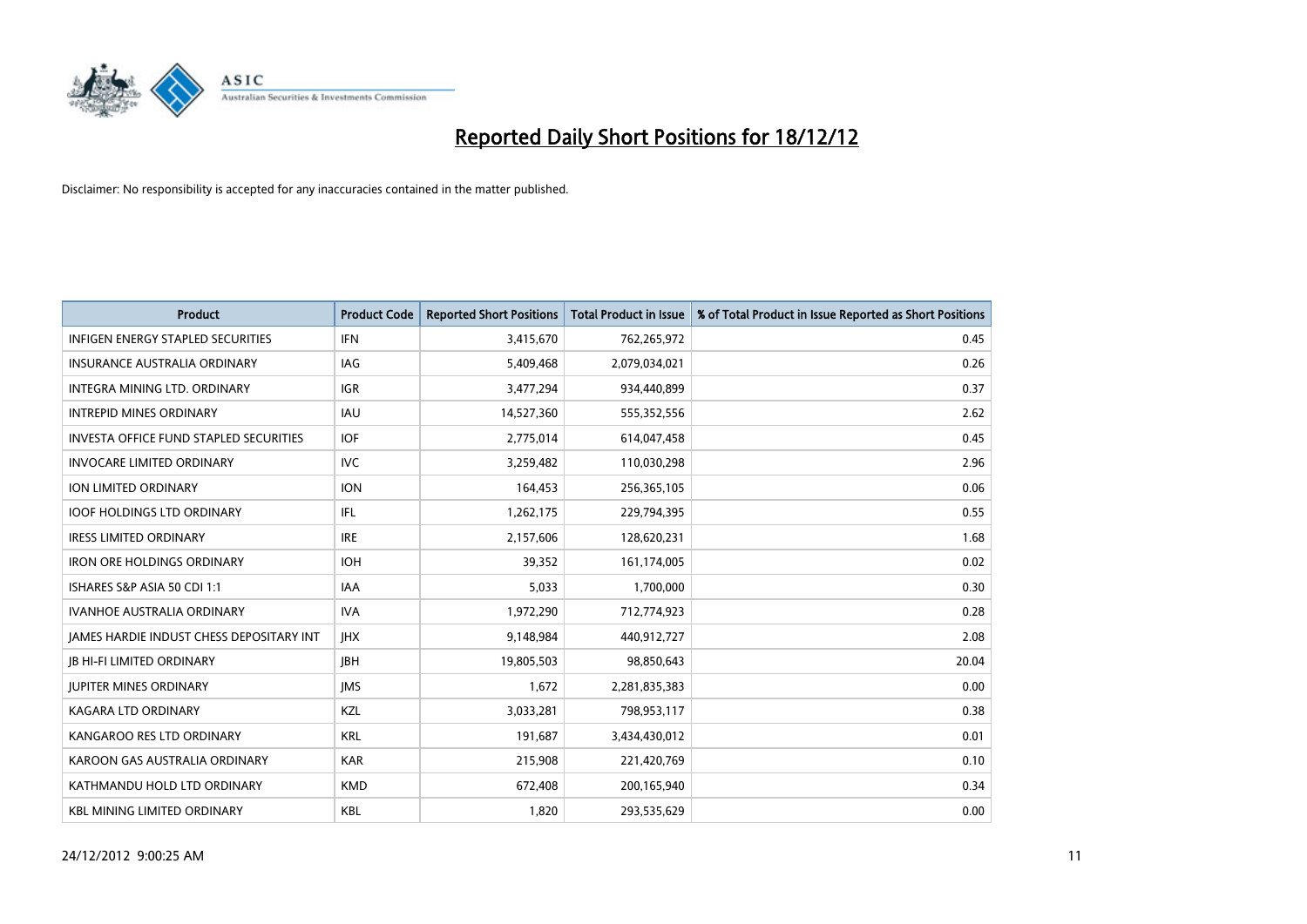

| <b>Product</b>                                | <b>Product Code</b> | <b>Reported Short Positions</b> | <b>Total Product in Issue</b> | % of Total Product in Issue Reported as Short Positions |
|-----------------------------------------------|---------------------|---------------------------------|-------------------------------|---------------------------------------------------------|
| <b>INFIGEN ENERGY STAPLED SECURITIES</b>      | <b>IFN</b>          | 3,415,670                       | 762,265,972                   | 0.45                                                    |
| INSURANCE AUSTRALIA ORDINARY                  | IAG                 | 5,409,468                       | 2,079,034,021                 | 0.26                                                    |
| INTEGRA MINING LTD. ORDINARY                  | <b>IGR</b>          | 3,477,294                       | 934,440,899                   | 0.37                                                    |
| <b>INTREPID MINES ORDINARY</b>                | <b>IAU</b>          | 14,527,360                      | 555,352,556                   | 2.62                                                    |
| <b>INVESTA OFFICE FUND STAPLED SECURITIES</b> | <b>IOF</b>          | 2,775,014                       | 614,047,458                   | 0.45                                                    |
| <b>INVOCARE LIMITED ORDINARY</b>              | <b>IVC</b>          | 3,259,482                       | 110,030,298                   | 2.96                                                    |
| ION LIMITED ORDINARY                          | <b>ION</b>          | 164,453                         | 256,365,105                   | 0.06                                                    |
| <b>IOOF HOLDINGS LTD ORDINARY</b>             | <b>IFL</b>          | 1,262,175                       | 229,794,395                   | 0.55                                                    |
| <b>IRESS LIMITED ORDINARY</b>                 | <b>IRE</b>          | 2,157,606                       | 128,620,231                   | 1.68                                                    |
| <b>IRON ORE HOLDINGS ORDINARY</b>             | <b>IOH</b>          | 39,352                          | 161,174,005                   | 0.02                                                    |
| ISHARES S&P ASIA 50 CDI 1:1                   | <b>IAA</b>          | 5,033                           | 1,700,000                     | 0.30                                                    |
| <b>IVANHOE AUSTRALIA ORDINARY</b>             | <b>IVA</b>          | 1,972,290                       | 712,774,923                   | 0.28                                                    |
| JAMES HARDIE INDUST CHESS DEPOSITARY INT      | <b>IHX</b>          | 9,148,984                       | 440,912,727                   | 2.08                                                    |
| <b>JB HI-FI LIMITED ORDINARY</b>              | <b>IBH</b>          | 19,805,503                      | 98,850,643                    | 20.04                                                   |
| <b>JUPITER MINES ORDINARY</b>                 | <b>IMS</b>          | 1,672                           | 2,281,835,383                 | 0.00                                                    |
| KAGARA LTD ORDINARY                           | <b>KZL</b>          | 3,033,281                       | 798,953,117                   | 0.38                                                    |
| KANGAROO RES LTD ORDINARY                     | <b>KRL</b>          | 191,687                         | 3,434,430,012                 | 0.01                                                    |
| KAROON GAS AUSTRALIA ORDINARY                 | <b>KAR</b>          | 215,908                         | 221,420,769                   | 0.10                                                    |
| KATHMANDU HOLD LTD ORDINARY                   | <b>KMD</b>          | 672,408                         | 200,165,940                   | 0.34                                                    |
| <b>KBL MINING LIMITED ORDINARY</b>            | <b>KBL</b>          | 1,820                           | 293,535,629                   | 0.00                                                    |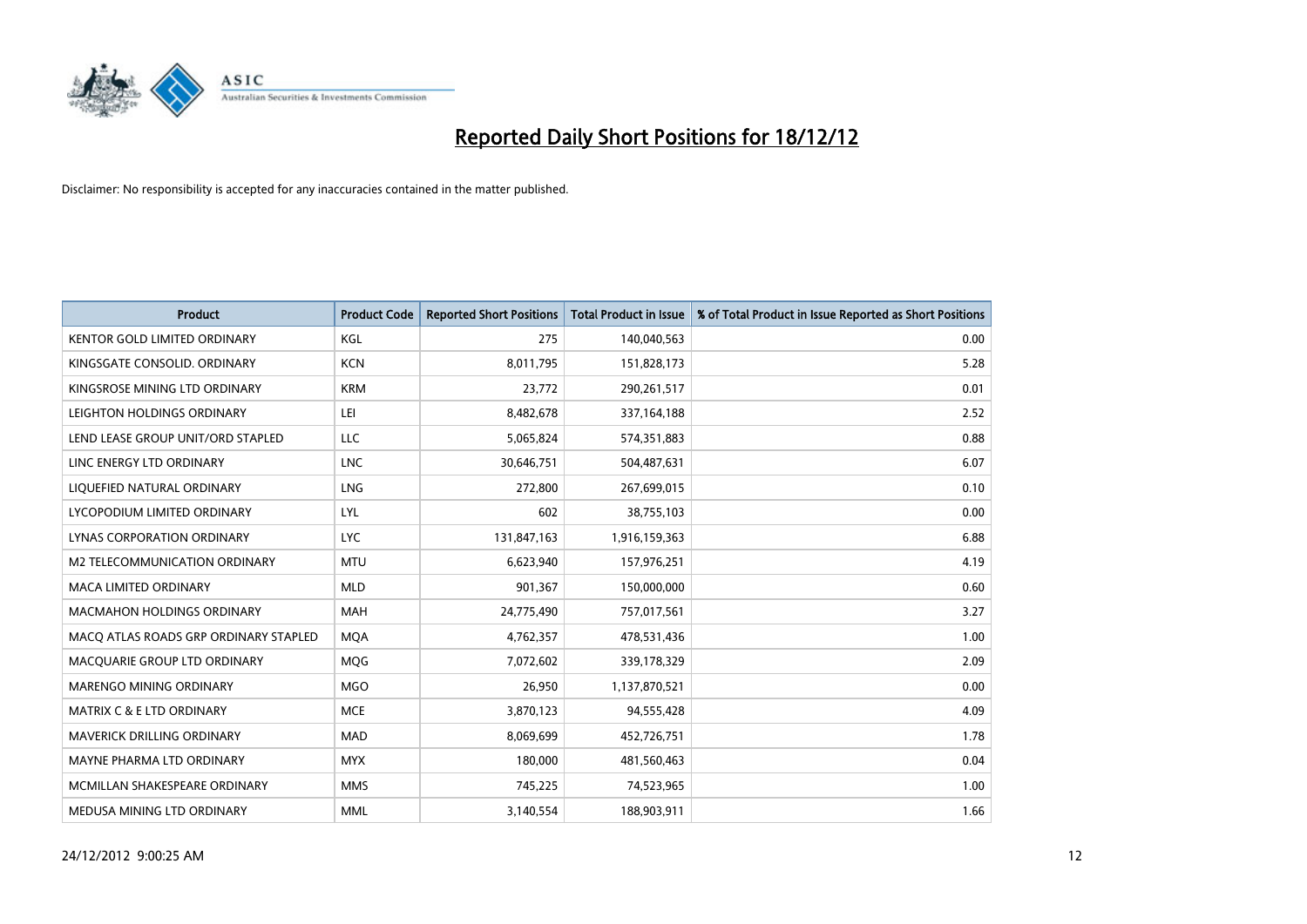

| <b>Product</b>                        | <b>Product Code</b> | <b>Reported Short Positions</b> | <b>Total Product in Issue</b> | % of Total Product in Issue Reported as Short Positions |
|---------------------------------------|---------------------|---------------------------------|-------------------------------|---------------------------------------------------------|
| <b>KENTOR GOLD LIMITED ORDINARY</b>   | KGL                 | 275                             | 140,040,563                   | 0.00                                                    |
| KINGSGATE CONSOLID. ORDINARY          | <b>KCN</b>          | 8,011,795                       | 151,828,173                   | 5.28                                                    |
| KINGSROSE MINING LTD ORDINARY         | <b>KRM</b>          | 23,772                          | 290,261,517                   | 0.01                                                    |
| LEIGHTON HOLDINGS ORDINARY            | LEI                 | 8,482,678                       | 337, 164, 188                 | 2.52                                                    |
| LEND LEASE GROUP UNIT/ORD STAPLED     | <b>LLC</b>          | 5,065,824                       | 574,351,883                   | 0.88                                                    |
| LINC ENERGY LTD ORDINARY              | <b>LNC</b>          | 30,646,751                      | 504,487,631                   | 6.07                                                    |
| LIQUEFIED NATURAL ORDINARY            | <b>LNG</b>          | 272,800                         | 267,699,015                   | 0.10                                                    |
| LYCOPODIUM LIMITED ORDINARY           | LYL                 | 602                             | 38,755,103                    | 0.00                                                    |
| LYNAS CORPORATION ORDINARY            | <b>LYC</b>          | 131,847,163                     | 1,916,159,363                 | 6.88                                                    |
| <b>M2 TELECOMMUNICATION ORDINARY</b>  | <b>MTU</b>          | 6,623,940                       | 157,976,251                   | 4.19                                                    |
| <b>MACA LIMITED ORDINARY</b>          | <b>MLD</b>          | 901,367                         | 150,000,000                   | 0.60                                                    |
| <b>MACMAHON HOLDINGS ORDINARY</b>     | <b>MAH</b>          | 24,775,490                      | 757,017,561                   | 3.27                                                    |
| MACO ATLAS ROADS GRP ORDINARY STAPLED | <b>MQA</b>          | 4,762,357                       | 478,531,436                   | 1.00                                                    |
| MACQUARIE GROUP LTD ORDINARY          | MQG                 | 7,072,602                       | 339,178,329                   | 2.09                                                    |
| <b>MARENGO MINING ORDINARY</b>        | <b>MGO</b>          | 26,950                          | 1,137,870,521                 | 0.00                                                    |
| <b>MATRIX C &amp; E LTD ORDINARY</b>  | <b>MCE</b>          | 3,870,123                       | 94,555,428                    | 4.09                                                    |
| MAVERICK DRILLING ORDINARY            | MAD                 | 8,069,699                       | 452,726,751                   | 1.78                                                    |
| MAYNE PHARMA LTD ORDINARY             | <b>MYX</b>          | 180,000                         | 481,560,463                   | 0.04                                                    |
| MCMILLAN SHAKESPEARE ORDINARY         | <b>MMS</b>          | 745,225                         | 74,523,965                    | 1.00                                                    |
| MEDUSA MINING LTD ORDINARY            | <b>MML</b>          | 3,140,554                       | 188,903,911                   | 1.66                                                    |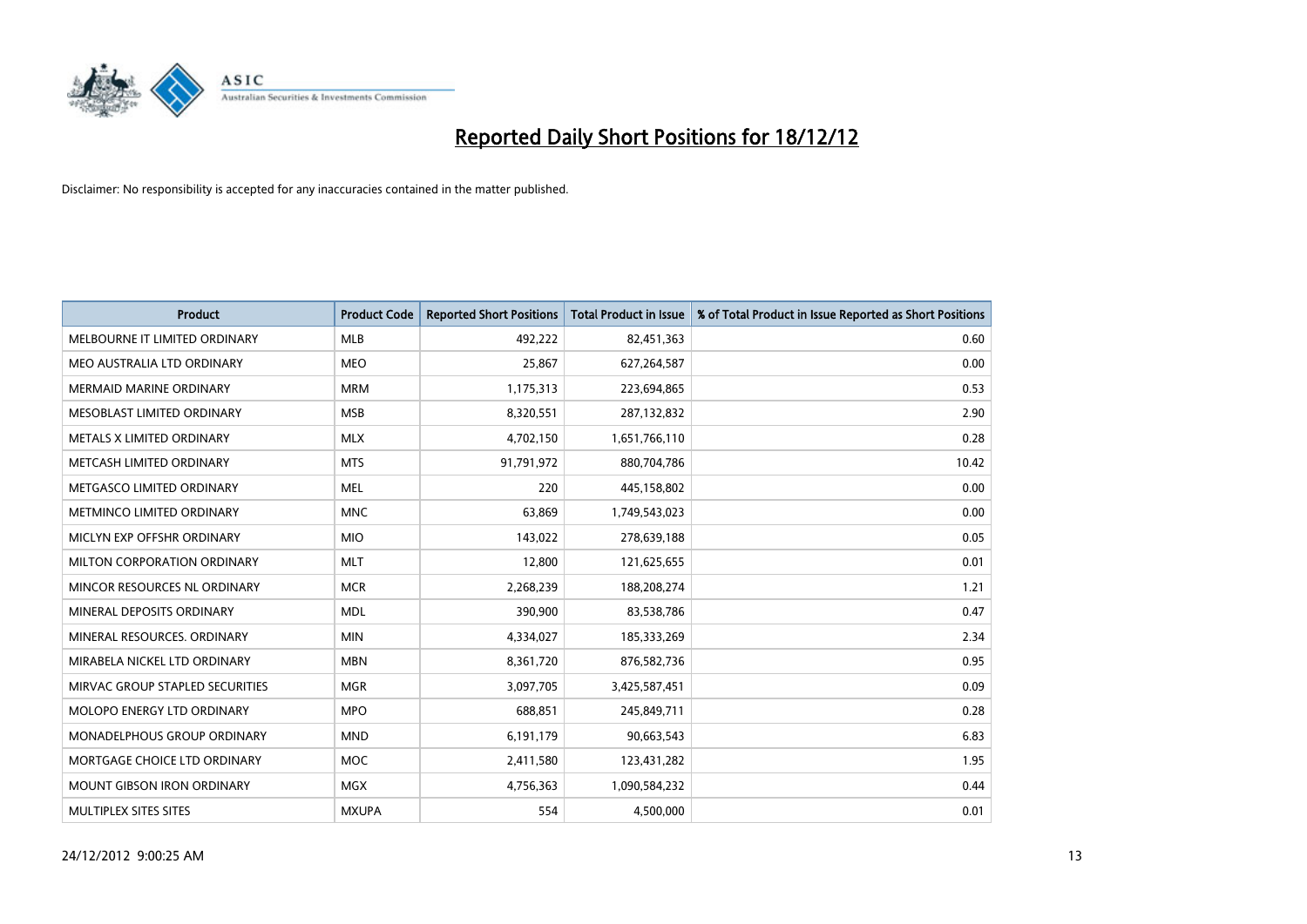

| <b>Product</b>                    | <b>Product Code</b> | <b>Reported Short Positions</b> | <b>Total Product in Issue</b> | % of Total Product in Issue Reported as Short Positions |
|-----------------------------------|---------------------|---------------------------------|-------------------------------|---------------------------------------------------------|
| MELBOURNE IT LIMITED ORDINARY     | <b>MLB</b>          | 492,222                         | 82,451,363                    | 0.60                                                    |
| MEO AUSTRALIA LTD ORDINARY        | <b>MEO</b>          | 25,867                          | 627,264,587                   | 0.00                                                    |
| <b>MERMAID MARINE ORDINARY</b>    | <b>MRM</b>          | 1,175,313                       | 223,694,865                   | 0.53                                                    |
| MESOBLAST LIMITED ORDINARY        | <b>MSB</b>          | 8,320,551                       | 287,132,832                   | 2.90                                                    |
| METALS X LIMITED ORDINARY         | <b>MLX</b>          | 4,702,150                       | 1,651,766,110                 | 0.28                                                    |
| METCASH LIMITED ORDINARY          | <b>MTS</b>          | 91,791,972                      | 880,704,786                   | 10.42                                                   |
| METGASCO LIMITED ORDINARY         | <b>MEL</b>          | 220                             | 445,158,802                   | 0.00                                                    |
| METMINCO LIMITED ORDINARY         | <b>MNC</b>          | 63,869                          | 1,749,543,023                 | 0.00                                                    |
| MICLYN EXP OFFSHR ORDINARY        | <b>MIO</b>          | 143,022                         | 278,639,188                   | 0.05                                                    |
| MILTON CORPORATION ORDINARY       | <b>MLT</b>          | 12,800                          | 121,625,655                   | 0.01                                                    |
| MINCOR RESOURCES NL ORDINARY      | <b>MCR</b>          | 2,268,239                       | 188,208,274                   | 1.21                                                    |
| MINERAL DEPOSITS ORDINARY         | <b>MDL</b>          | 390,900                         | 83,538,786                    | 0.47                                                    |
| MINERAL RESOURCES. ORDINARY       | <b>MIN</b>          | 4,334,027                       | 185,333,269                   | 2.34                                                    |
| MIRABELA NICKEL LTD ORDINARY      | <b>MBN</b>          | 8,361,720                       | 876,582,736                   | 0.95                                                    |
| MIRVAC GROUP STAPLED SECURITIES   | <b>MGR</b>          | 3,097,705                       | 3,425,587,451                 | 0.09                                                    |
| MOLOPO ENERGY LTD ORDINARY        | <b>MPO</b>          | 688,851                         | 245,849,711                   | 0.28                                                    |
| MONADELPHOUS GROUP ORDINARY       | <b>MND</b>          | 6,191,179                       | 90,663,543                    | 6.83                                                    |
| MORTGAGE CHOICE LTD ORDINARY      | <b>MOC</b>          | 2,411,580                       | 123,431,282                   | 1.95                                                    |
| <b>MOUNT GIBSON IRON ORDINARY</b> | <b>MGX</b>          | 4,756,363                       | 1,090,584,232                 | 0.44                                                    |
| MULTIPLEX SITES SITES             | <b>MXUPA</b>        | 554                             | 4,500,000                     | 0.01                                                    |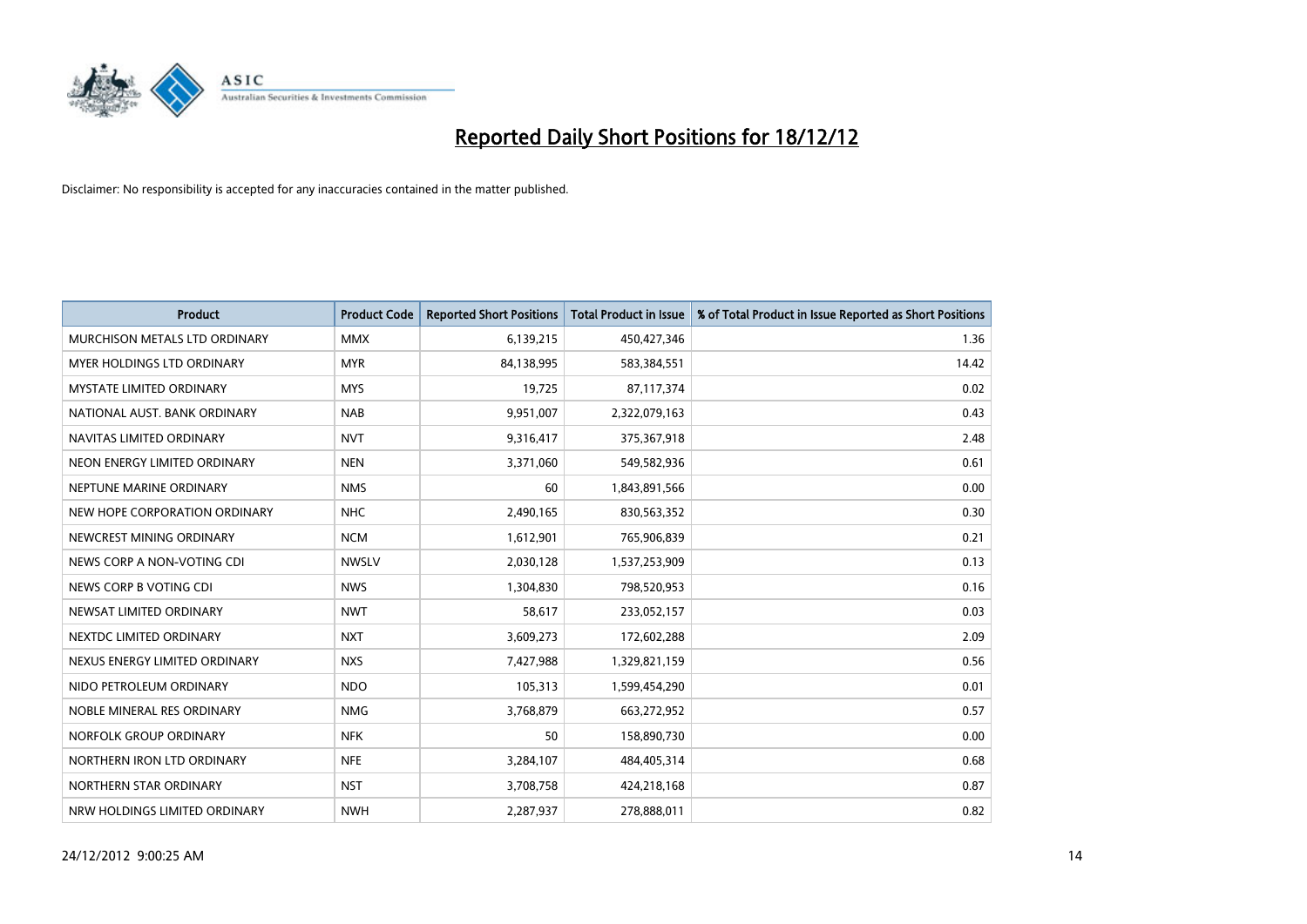

| <b>Product</b>                       | <b>Product Code</b> | <b>Reported Short Positions</b> | <b>Total Product in Issue</b> | % of Total Product in Issue Reported as Short Positions |
|--------------------------------------|---------------------|---------------------------------|-------------------------------|---------------------------------------------------------|
| <b>MURCHISON METALS LTD ORDINARY</b> | <b>MMX</b>          | 6,139,215                       | 450,427,346                   | 1.36                                                    |
| <b>MYER HOLDINGS LTD ORDINARY</b>    | <b>MYR</b>          | 84,138,995                      | 583,384,551                   | 14.42                                                   |
| <b>MYSTATE LIMITED ORDINARY</b>      | <b>MYS</b>          | 19,725                          | 87,117,374                    | 0.02                                                    |
| NATIONAL AUST. BANK ORDINARY         | <b>NAB</b>          | 9,951,007                       | 2,322,079,163                 | 0.43                                                    |
| NAVITAS LIMITED ORDINARY             | <b>NVT</b>          | 9,316,417                       | 375,367,918                   | 2.48                                                    |
| NEON ENERGY LIMITED ORDINARY         | <b>NEN</b>          | 3,371,060                       | 549,582,936                   | 0.61                                                    |
| NEPTUNE MARINE ORDINARY              | <b>NMS</b>          | 60                              | 1,843,891,566                 | 0.00                                                    |
| NEW HOPE CORPORATION ORDINARY        | <b>NHC</b>          | 2,490,165                       | 830,563,352                   | 0.30                                                    |
| NEWCREST MINING ORDINARY             | <b>NCM</b>          | 1,612,901                       | 765,906,839                   | 0.21                                                    |
| NEWS CORP A NON-VOTING CDI           | <b>NWSLV</b>        | 2,030,128                       | 1,537,253,909                 | 0.13                                                    |
| NEWS CORP B VOTING CDI               | <b>NWS</b>          | 1,304,830                       | 798,520,953                   | 0.16                                                    |
| NEWSAT LIMITED ORDINARY              | <b>NWT</b>          | 58,617                          | 233,052,157                   | 0.03                                                    |
| NEXTDC LIMITED ORDINARY              | <b>NXT</b>          | 3,609,273                       | 172,602,288                   | 2.09                                                    |
| NEXUS ENERGY LIMITED ORDINARY        | <b>NXS</b>          | 7,427,988                       | 1,329,821,159                 | 0.56                                                    |
| NIDO PETROLEUM ORDINARY              | <b>NDO</b>          | 105,313                         | 1,599,454,290                 | 0.01                                                    |
| NOBLE MINERAL RES ORDINARY           | <b>NMG</b>          | 3,768,879                       | 663,272,952                   | 0.57                                                    |
| NORFOLK GROUP ORDINARY               | <b>NFK</b>          | 50                              | 158,890,730                   | 0.00                                                    |
| NORTHERN IRON LTD ORDINARY           | <b>NFE</b>          | 3,284,107                       | 484,405,314                   | 0.68                                                    |
| NORTHERN STAR ORDINARY               | <b>NST</b>          | 3,708,758                       | 424,218,168                   | 0.87                                                    |
| NRW HOLDINGS LIMITED ORDINARY        | <b>NWH</b>          | 2,287,937                       | 278,888,011                   | 0.82                                                    |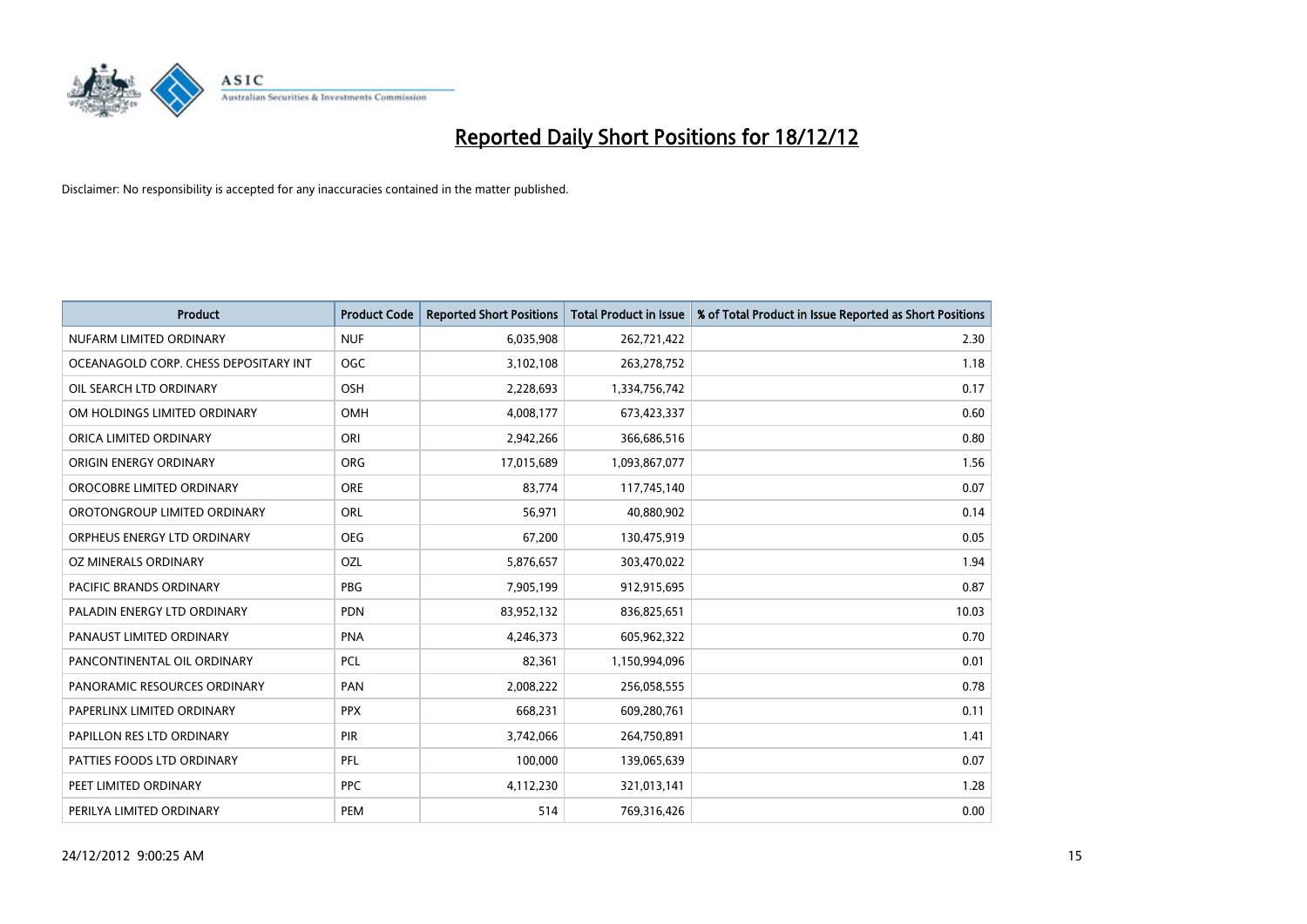

| <b>Product</b>                        | <b>Product Code</b> | <b>Reported Short Positions</b> | <b>Total Product in Issue</b> | % of Total Product in Issue Reported as Short Positions |
|---------------------------------------|---------------------|---------------------------------|-------------------------------|---------------------------------------------------------|
| NUFARM LIMITED ORDINARY               | <b>NUF</b>          | 6,035,908                       | 262,721,422                   | 2.30                                                    |
| OCEANAGOLD CORP. CHESS DEPOSITARY INT | <b>OGC</b>          | 3,102,108                       | 263,278,752                   | 1.18                                                    |
| OIL SEARCH LTD ORDINARY               | <b>OSH</b>          | 2,228,693                       | 1,334,756,742                 | 0.17                                                    |
| OM HOLDINGS LIMITED ORDINARY          | <b>OMH</b>          | 4,008,177                       | 673,423,337                   | 0.60                                                    |
| ORICA LIMITED ORDINARY                | ORI                 | 2,942,266                       | 366,686,516                   | 0.80                                                    |
| ORIGIN ENERGY ORDINARY                | <b>ORG</b>          | 17,015,689                      | 1,093,867,077                 | 1.56                                                    |
| OROCOBRE LIMITED ORDINARY             | <b>ORE</b>          | 83,774                          | 117,745,140                   | 0.07                                                    |
| OROTONGROUP LIMITED ORDINARY          | <b>ORL</b>          | 56,971                          | 40,880,902                    | 0.14                                                    |
| ORPHEUS ENERGY LTD ORDINARY           | <b>OEG</b>          | 67,200                          | 130,475,919                   | 0.05                                                    |
| OZ MINERALS ORDINARY                  | OZL                 | 5,876,657                       | 303,470,022                   | 1.94                                                    |
| <b>PACIFIC BRANDS ORDINARY</b>        | PBG                 | 7,905,199                       | 912,915,695                   | 0.87                                                    |
| PALADIN ENERGY LTD ORDINARY           | <b>PDN</b>          | 83,952,132                      | 836,825,651                   | 10.03                                                   |
| PANAUST LIMITED ORDINARY              | <b>PNA</b>          | 4,246,373                       | 605,962,322                   | 0.70                                                    |
| PANCONTINENTAL OIL ORDINARY           | <b>PCL</b>          | 82,361                          | 1,150,994,096                 | 0.01                                                    |
| PANORAMIC RESOURCES ORDINARY          | PAN                 | 2,008,222                       | 256,058,555                   | 0.78                                                    |
| PAPERLINX LIMITED ORDINARY            | <b>PPX</b>          | 668,231                         | 609,280,761                   | 0.11                                                    |
| PAPILLON RES LTD ORDINARY             | PIR                 | 3,742,066                       | 264,750,891                   | 1.41                                                    |
| PATTIES FOODS LTD ORDINARY            | PFL                 | 100,000                         | 139,065,639                   | 0.07                                                    |
| PEET LIMITED ORDINARY                 | <b>PPC</b>          | 4,112,230                       | 321,013,141                   | 1.28                                                    |
| PERILYA LIMITED ORDINARY              | PEM                 | 514                             | 769,316,426                   | 0.00                                                    |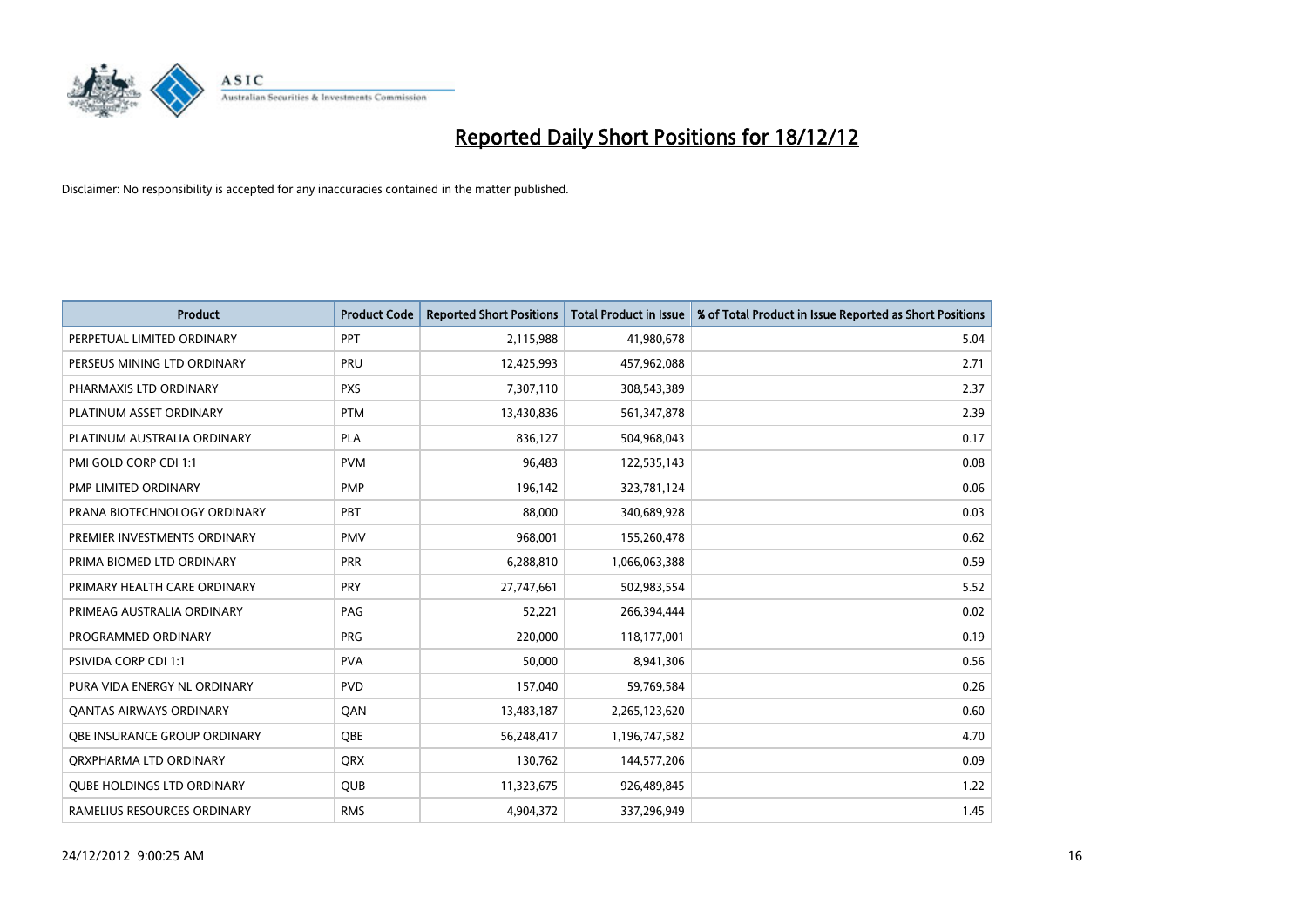

| <b>Product</b>                      | <b>Product Code</b> | <b>Reported Short Positions</b> | <b>Total Product in Issue</b> | % of Total Product in Issue Reported as Short Positions |
|-------------------------------------|---------------------|---------------------------------|-------------------------------|---------------------------------------------------------|
| PERPETUAL LIMITED ORDINARY          | PPT                 | 2,115,988                       | 41,980,678                    | 5.04                                                    |
| PERSEUS MINING LTD ORDINARY         | PRU                 | 12,425,993                      | 457,962,088                   | 2.71                                                    |
| PHARMAXIS LTD ORDINARY              | <b>PXS</b>          | 7,307,110                       | 308,543,389                   | 2.37                                                    |
| PLATINUM ASSET ORDINARY             | <b>PTM</b>          | 13,430,836                      | 561,347,878                   | 2.39                                                    |
| PLATINUM AUSTRALIA ORDINARY         | <b>PLA</b>          | 836,127                         | 504,968,043                   | 0.17                                                    |
| PMI GOLD CORP CDI 1:1               | <b>PVM</b>          | 96,483                          | 122,535,143                   | 0.08                                                    |
| PMP LIMITED ORDINARY                | <b>PMP</b>          | 196,142                         | 323,781,124                   | 0.06                                                    |
| PRANA BIOTECHNOLOGY ORDINARY        | PBT                 | 88,000                          | 340,689,928                   | 0.03                                                    |
| PREMIER INVESTMENTS ORDINARY        | <b>PMV</b>          | 968,001                         | 155,260,478                   | 0.62                                                    |
| PRIMA BIOMED LTD ORDINARY           | <b>PRR</b>          | 6,288,810                       | 1,066,063,388                 | 0.59                                                    |
| PRIMARY HEALTH CARE ORDINARY        | <b>PRY</b>          | 27,747,661                      | 502,983,554                   | 5.52                                                    |
| PRIMEAG AUSTRALIA ORDINARY          | PAG                 | 52,221                          | 266,394,444                   | 0.02                                                    |
| PROGRAMMED ORDINARY                 | PRG                 | 220,000                         | 118,177,001                   | 0.19                                                    |
| <b>PSIVIDA CORP CDI 1:1</b>         | <b>PVA</b>          | 50,000                          | 8,941,306                     | 0.56                                                    |
| PURA VIDA ENERGY NL ORDINARY        | <b>PVD</b>          | 157,040                         | 59,769,584                    | 0.26                                                    |
| <b>QANTAS AIRWAYS ORDINARY</b>      | QAN                 | 13,483,187                      | 2,265,123,620                 | 0.60                                                    |
| <b>OBE INSURANCE GROUP ORDINARY</b> | <b>OBE</b>          | 56,248,417                      | 1,196,747,582                 | 4.70                                                    |
| ORXPHARMA LTD ORDINARY              | <b>QRX</b>          | 130,762                         | 144,577,206                   | 0.09                                                    |
| <b>QUBE HOLDINGS LTD ORDINARY</b>   | <b>QUB</b>          | 11,323,675                      | 926,489,845                   | 1.22                                                    |
| RAMELIUS RESOURCES ORDINARY         | <b>RMS</b>          | 4,904,372                       | 337,296,949                   | 1.45                                                    |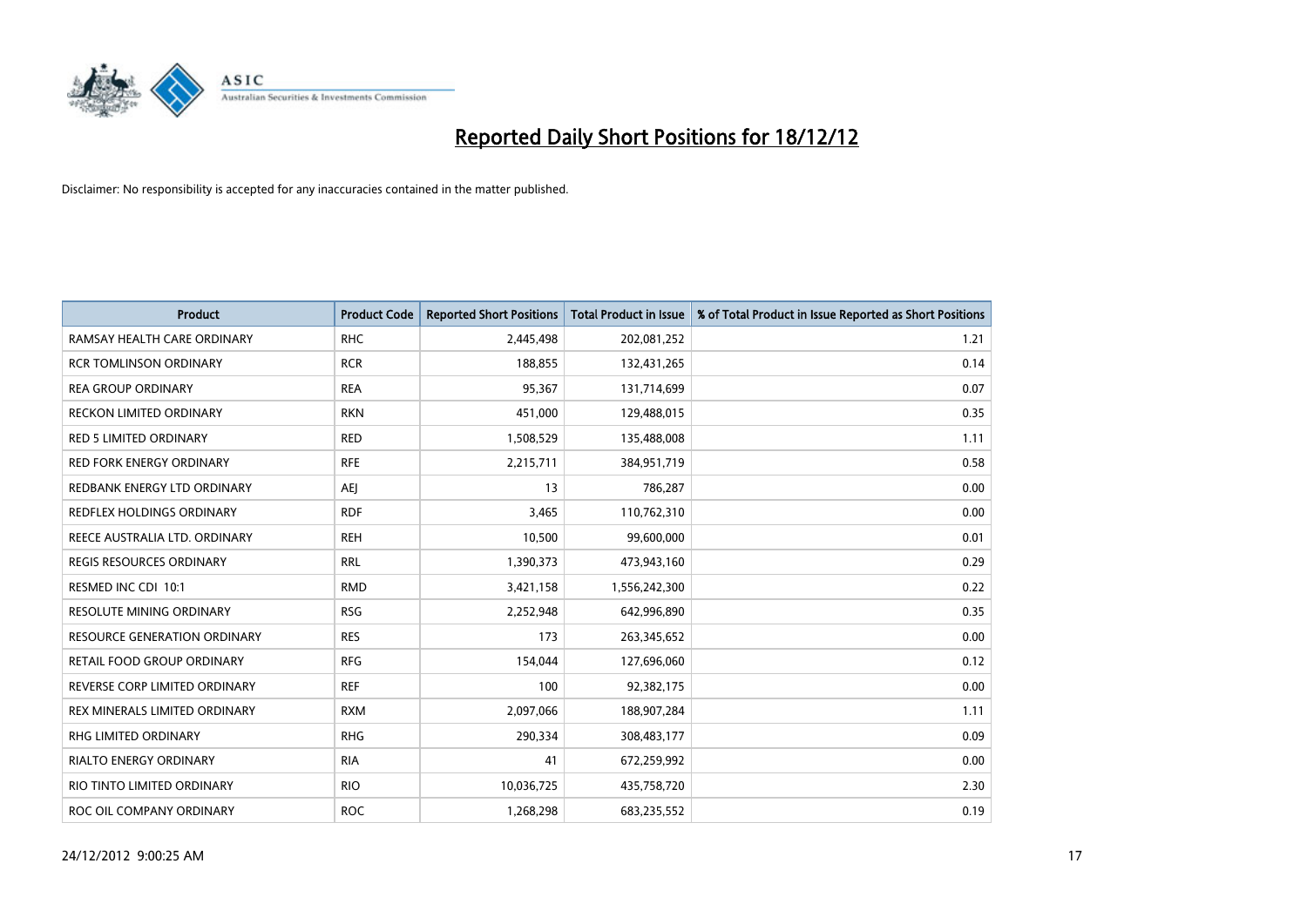

| <b>Product</b>                      | <b>Product Code</b> | <b>Reported Short Positions</b> | Total Product in Issue | % of Total Product in Issue Reported as Short Positions |
|-------------------------------------|---------------------|---------------------------------|------------------------|---------------------------------------------------------|
| RAMSAY HEALTH CARE ORDINARY         | <b>RHC</b>          | 2,445,498                       | 202,081,252            | 1.21                                                    |
| <b>RCR TOMLINSON ORDINARY</b>       | <b>RCR</b>          | 188,855                         | 132,431,265            | 0.14                                                    |
| <b>REA GROUP ORDINARY</b>           | <b>REA</b>          | 95,367                          | 131,714,699            | 0.07                                                    |
| RECKON LIMITED ORDINARY             | <b>RKN</b>          | 451,000                         | 129,488,015            | 0.35                                                    |
| <b>RED 5 LIMITED ORDINARY</b>       | <b>RED</b>          | 1,508,529                       | 135,488,008            | 1.11                                                    |
| <b>RED FORK ENERGY ORDINARY</b>     | <b>RFE</b>          | 2,215,711                       | 384,951,719            | 0.58                                                    |
| REDBANK ENERGY LTD ORDINARY         | AEJ                 | 13                              | 786,287                | 0.00                                                    |
| REDFLEX HOLDINGS ORDINARY           | <b>RDF</b>          | 3,465                           | 110,762,310            | 0.00                                                    |
| REECE AUSTRALIA LTD. ORDINARY       | <b>REH</b>          | 10,500                          | 99,600,000             | 0.01                                                    |
| <b>REGIS RESOURCES ORDINARY</b>     | <b>RRL</b>          | 1,390,373                       | 473,943,160            | 0.29                                                    |
| RESMED INC CDI 10:1                 | <b>RMD</b>          | 3,421,158                       | 1,556,242,300          | 0.22                                                    |
| <b>RESOLUTE MINING ORDINARY</b>     | <b>RSG</b>          | 2,252,948                       | 642,996,890            | 0.35                                                    |
| <b>RESOURCE GENERATION ORDINARY</b> | <b>RES</b>          | 173                             | 263,345,652            | 0.00                                                    |
| <b>RETAIL FOOD GROUP ORDINARY</b>   | <b>RFG</b>          | 154,044                         | 127,696,060            | 0.12                                                    |
| REVERSE CORP LIMITED ORDINARY       | <b>REF</b>          | 100                             | 92,382,175             | 0.00                                                    |
| REX MINERALS LIMITED ORDINARY       | <b>RXM</b>          | 2,097,066                       | 188,907,284            | 1.11                                                    |
| <b>RHG LIMITED ORDINARY</b>         | <b>RHG</b>          | 290,334                         | 308,483,177            | 0.09                                                    |
| RIALTO ENERGY ORDINARY              | <b>RIA</b>          | 41                              | 672,259,992            | 0.00                                                    |
| RIO TINTO LIMITED ORDINARY          | <b>RIO</b>          | 10,036,725                      | 435,758,720            | 2.30                                                    |
| ROC OIL COMPANY ORDINARY            | <b>ROC</b>          | 1,268,298                       | 683,235,552            | 0.19                                                    |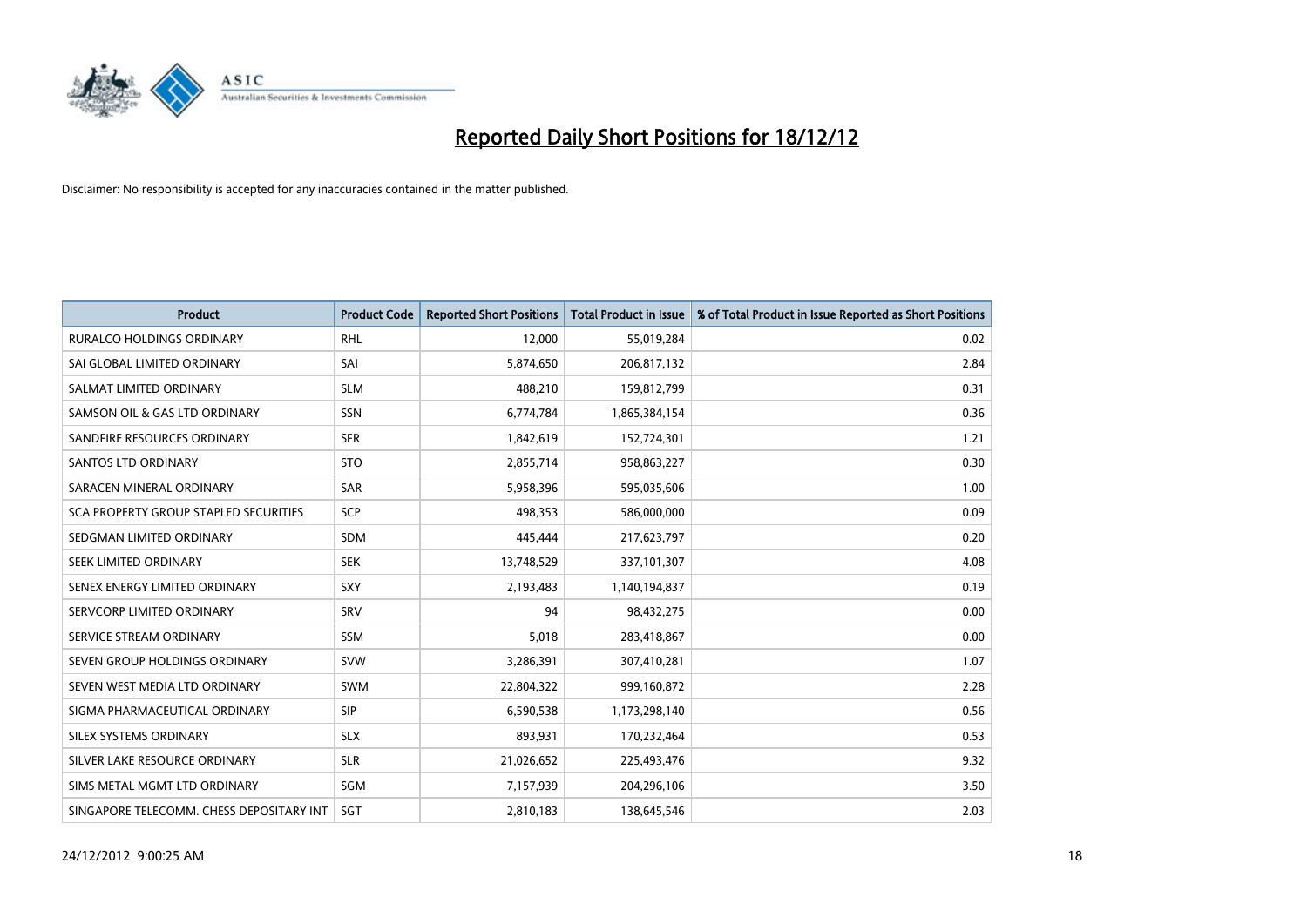

| <b>Product</b>                               | <b>Product Code</b> | <b>Reported Short Positions</b> | <b>Total Product in Issue</b> | % of Total Product in Issue Reported as Short Positions |
|----------------------------------------------|---------------------|---------------------------------|-------------------------------|---------------------------------------------------------|
| <b>RURALCO HOLDINGS ORDINARY</b>             | <b>RHL</b>          | 12,000                          | 55,019,284                    | 0.02                                                    |
| SAI GLOBAL LIMITED ORDINARY                  | SAI                 | 5,874,650                       | 206,817,132                   | 2.84                                                    |
| SALMAT LIMITED ORDINARY                      | <b>SLM</b>          | 488,210                         | 159,812,799                   | 0.31                                                    |
| SAMSON OIL & GAS LTD ORDINARY                | SSN                 | 6,774,784                       | 1,865,384,154                 | 0.36                                                    |
| SANDFIRE RESOURCES ORDINARY                  | <b>SFR</b>          | 1,842,619                       | 152,724,301                   | 1.21                                                    |
| <b>SANTOS LTD ORDINARY</b>                   | <b>STO</b>          | 2,855,714                       | 958,863,227                   | 0.30                                                    |
| SARACEN MINERAL ORDINARY                     | <b>SAR</b>          | 5,958,396                       | 595,035,606                   | 1.00                                                    |
| <b>SCA PROPERTY GROUP STAPLED SECURITIES</b> | SCP                 | 498,353                         | 586,000,000                   | 0.09                                                    |
| SEDGMAN LIMITED ORDINARY                     | SDM                 | 445,444                         | 217,623,797                   | 0.20                                                    |
| SEEK LIMITED ORDINARY                        | <b>SEK</b>          | 13,748,529                      | 337,101,307                   | 4.08                                                    |
| SENEX ENERGY LIMITED ORDINARY                | <b>SXY</b>          | 2,193,483                       | 1,140,194,837                 | 0.19                                                    |
| SERVCORP LIMITED ORDINARY                    | SRV                 | 94                              | 98,432,275                    | 0.00                                                    |
| SERVICE STREAM ORDINARY                      | <b>SSM</b>          | 5,018                           | 283,418,867                   | 0.00                                                    |
| SEVEN GROUP HOLDINGS ORDINARY                | <b>SVW</b>          | 3,286,391                       | 307,410,281                   | 1.07                                                    |
| SEVEN WEST MEDIA LTD ORDINARY                | <b>SWM</b>          | 22,804,322                      | 999,160,872                   | 2.28                                                    |
| SIGMA PHARMACEUTICAL ORDINARY                | <b>SIP</b>          | 6,590,538                       | 1,173,298,140                 | 0.56                                                    |
| <b>SILEX SYSTEMS ORDINARY</b>                | <b>SLX</b>          | 893,931                         | 170,232,464                   | 0.53                                                    |
| SILVER LAKE RESOURCE ORDINARY                | <b>SLR</b>          | 21,026,652                      | 225,493,476                   | 9.32                                                    |
| SIMS METAL MGMT LTD ORDINARY                 | SGM                 | 7,157,939                       | 204,296,106                   | 3.50                                                    |
| SINGAPORE TELECOMM. CHESS DEPOSITARY INT     | <b>SGT</b>          | 2,810,183                       | 138,645,546                   | 2.03                                                    |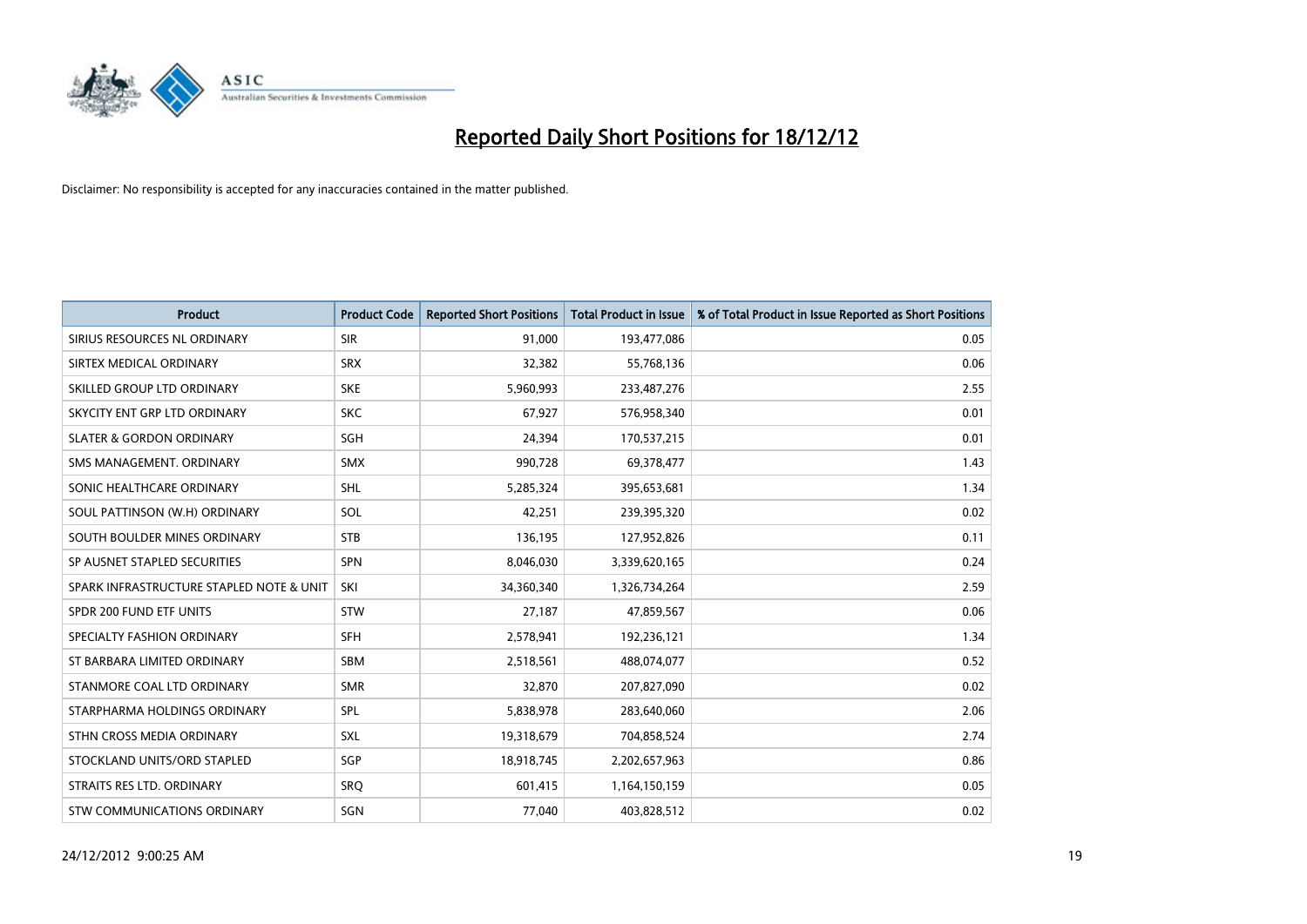

| <b>Product</b>                           | <b>Product Code</b> | <b>Reported Short Positions</b> | <b>Total Product in Issue</b> | % of Total Product in Issue Reported as Short Positions |
|------------------------------------------|---------------------|---------------------------------|-------------------------------|---------------------------------------------------------|
| SIRIUS RESOURCES NL ORDINARY             | <b>SIR</b>          | 91,000                          | 193,477,086                   | 0.05                                                    |
| SIRTEX MEDICAL ORDINARY                  | <b>SRX</b>          | 32,382                          | 55,768,136                    | 0.06                                                    |
| SKILLED GROUP LTD ORDINARY               | <b>SKE</b>          | 5,960,993                       | 233,487,276                   | 2.55                                                    |
| SKYCITY ENT GRP LTD ORDINARY             | <b>SKC</b>          | 67,927                          | 576,958,340                   | 0.01                                                    |
| <b>SLATER &amp; GORDON ORDINARY</b>      | SGH                 | 24,394                          | 170,537,215                   | 0.01                                                    |
| SMS MANAGEMENT, ORDINARY                 | <b>SMX</b>          | 990,728                         | 69,378,477                    | 1.43                                                    |
| SONIC HEALTHCARE ORDINARY                | <b>SHL</b>          | 5,285,324                       | 395,653,681                   | 1.34                                                    |
| SOUL PATTINSON (W.H) ORDINARY            | SOL                 | 42,251                          | 239,395,320                   | 0.02                                                    |
| SOUTH BOULDER MINES ORDINARY             | <b>STB</b>          | 136,195                         | 127,952,826                   | 0.11                                                    |
| SP AUSNET STAPLED SECURITIES             | <b>SPN</b>          | 8,046,030                       | 3,339,620,165                 | 0.24                                                    |
| SPARK INFRASTRUCTURE STAPLED NOTE & UNIT | SKI                 | 34,360,340                      | 1,326,734,264                 | 2.59                                                    |
| SPDR 200 FUND ETF UNITS                  | <b>STW</b>          | 27,187                          | 47,859,567                    | 0.06                                                    |
| SPECIALTY FASHION ORDINARY               | <b>SFH</b>          | 2,578,941                       | 192,236,121                   | 1.34                                                    |
| ST BARBARA LIMITED ORDINARY              | <b>SBM</b>          | 2,518,561                       | 488,074,077                   | 0.52                                                    |
| STANMORE COAL LTD ORDINARY               | <b>SMR</b>          | 32,870                          | 207,827,090                   | 0.02                                                    |
| STARPHARMA HOLDINGS ORDINARY             | SPL                 | 5,838,978                       | 283,640,060                   | 2.06                                                    |
| STHN CROSS MEDIA ORDINARY                | SXL                 | 19,318,679                      | 704,858,524                   | 2.74                                                    |
| STOCKLAND UNITS/ORD STAPLED              | SGP                 | 18,918,745                      | 2,202,657,963                 | 0.86                                                    |
| STRAITS RES LTD. ORDINARY                | SRO                 | 601,415                         | 1,164,150,159                 | 0.05                                                    |
| STW COMMUNICATIONS ORDINARY              | SGN                 | 77,040                          | 403,828,512                   | 0.02                                                    |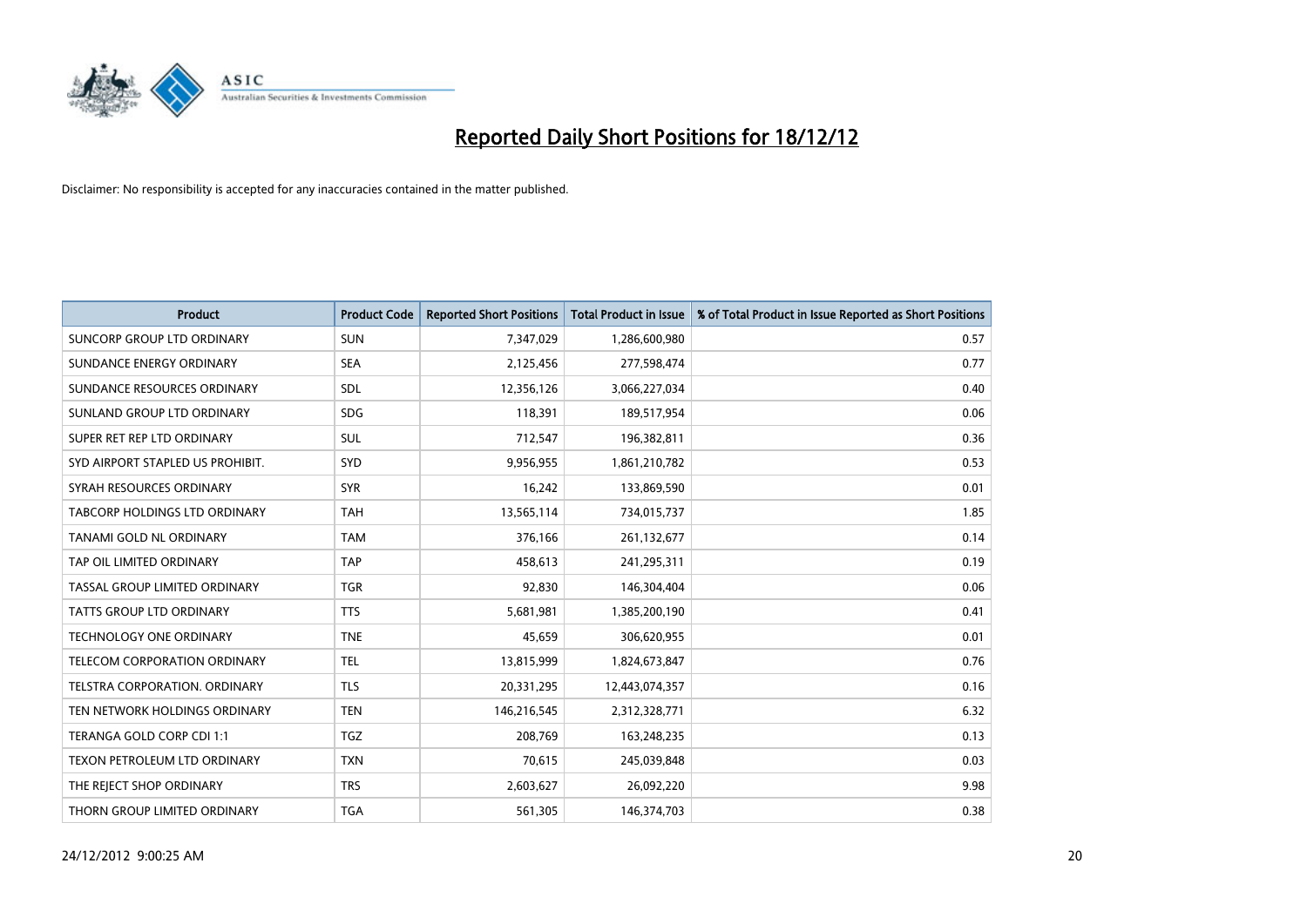

| <b>Product</b>                       | <b>Product Code</b> | <b>Reported Short Positions</b> | <b>Total Product in Issue</b> | % of Total Product in Issue Reported as Short Positions |
|--------------------------------------|---------------------|---------------------------------|-------------------------------|---------------------------------------------------------|
| SUNCORP GROUP LTD ORDINARY           | <b>SUN</b>          | 7,347,029                       | 1,286,600,980                 | 0.57                                                    |
| SUNDANCE ENERGY ORDINARY             | <b>SEA</b>          | 2,125,456                       | 277,598,474                   | 0.77                                                    |
| SUNDANCE RESOURCES ORDINARY          | <b>SDL</b>          | 12,356,126                      | 3,066,227,034                 | 0.40                                                    |
| SUNLAND GROUP LTD ORDINARY           | <b>SDG</b>          | 118,391                         | 189,517,954                   | 0.06                                                    |
| SUPER RET REP LTD ORDINARY           | <b>SUL</b>          | 712,547                         | 196,382,811                   | 0.36                                                    |
| SYD AIRPORT STAPLED US PROHIBIT.     | <b>SYD</b>          | 9,956,955                       | 1,861,210,782                 | 0.53                                                    |
| SYRAH RESOURCES ORDINARY             | <b>SYR</b>          | 16,242                          | 133,869,590                   | 0.01                                                    |
| TABCORP HOLDINGS LTD ORDINARY        | <b>TAH</b>          | 13,565,114                      | 734,015,737                   | 1.85                                                    |
| <b>TANAMI GOLD NL ORDINARY</b>       | <b>TAM</b>          | 376,166                         | 261,132,677                   | 0.14                                                    |
| TAP OIL LIMITED ORDINARY             | <b>TAP</b>          | 458,613                         | 241,295,311                   | 0.19                                                    |
| TASSAL GROUP LIMITED ORDINARY        | <b>TGR</b>          | 92,830                          | 146,304,404                   | 0.06                                                    |
| <b>TATTS GROUP LTD ORDINARY</b>      | <b>TTS</b>          | 5,681,981                       | 1,385,200,190                 | 0.41                                                    |
| TECHNOLOGY ONE ORDINARY              | <b>TNE</b>          | 45,659                          | 306,620,955                   | 0.01                                                    |
| TELECOM CORPORATION ORDINARY         | <b>TEL</b>          | 13,815,999                      | 1,824,673,847                 | 0.76                                                    |
| <b>TELSTRA CORPORATION, ORDINARY</b> | <b>TLS</b>          | 20,331,295                      | 12,443,074,357                | 0.16                                                    |
| TEN NETWORK HOLDINGS ORDINARY        | <b>TEN</b>          | 146,216,545                     | 2,312,328,771                 | 6.32                                                    |
| TERANGA GOLD CORP CDI 1:1            | <b>TGZ</b>          | 208,769                         | 163,248,235                   | 0.13                                                    |
| TEXON PETROLEUM LTD ORDINARY         | <b>TXN</b>          | 70,615                          | 245,039,848                   | 0.03                                                    |
| THE REJECT SHOP ORDINARY             | <b>TRS</b>          | 2,603,627                       | 26,092,220                    | 9.98                                                    |
| THORN GROUP LIMITED ORDINARY         | <b>TGA</b>          | 561,305                         | 146,374,703                   | 0.38                                                    |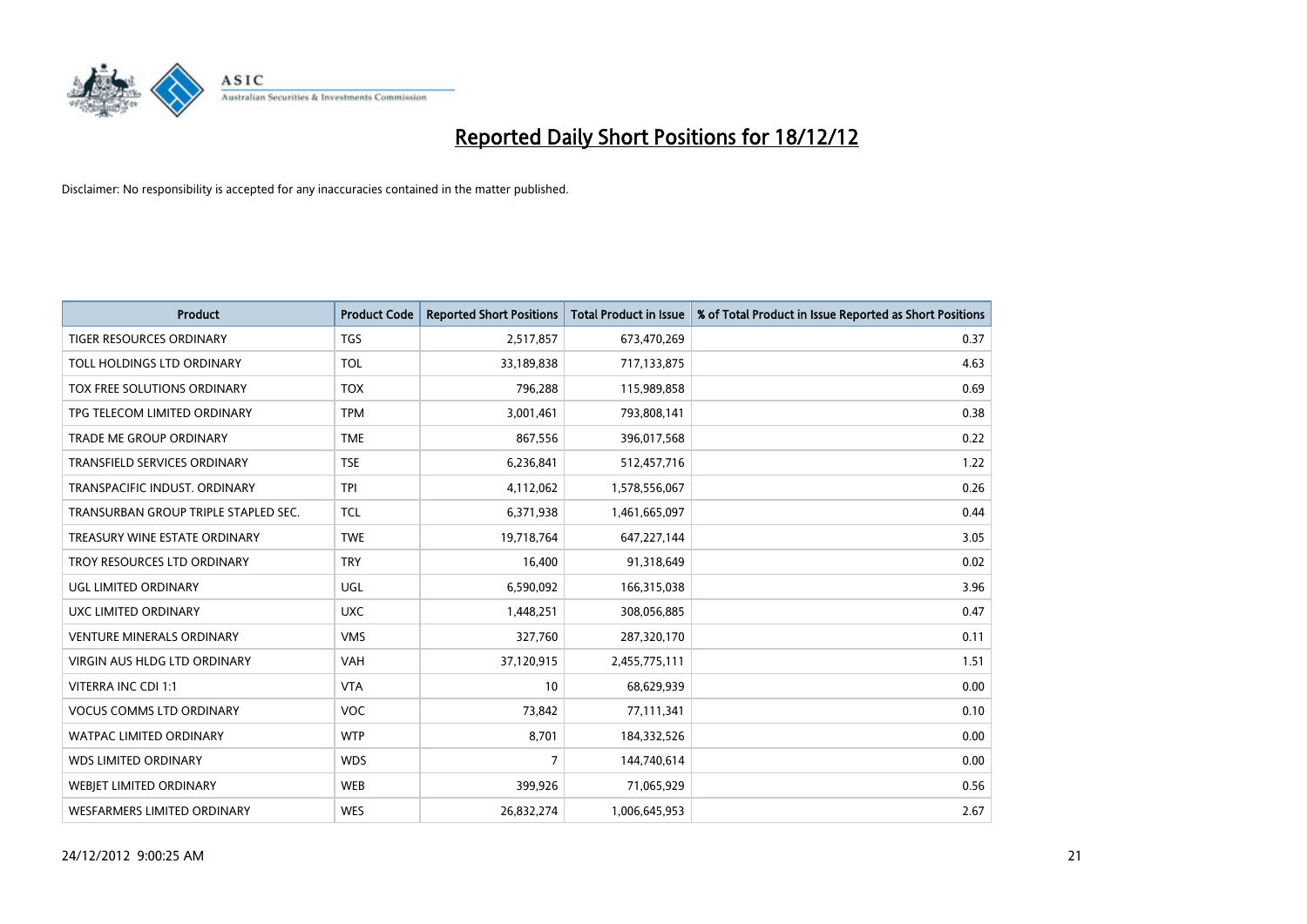

| <b>Product</b>                       | <b>Product Code</b> | <b>Reported Short Positions</b> | <b>Total Product in Issue</b> | % of Total Product in Issue Reported as Short Positions |
|--------------------------------------|---------------------|---------------------------------|-------------------------------|---------------------------------------------------------|
| <b>TIGER RESOURCES ORDINARY</b>      | <b>TGS</b>          | 2,517,857                       | 673,470,269                   | 0.37                                                    |
| TOLL HOLDINGS LTD ORDINARY           | <b>TOL</b>          | 33,189,838                      | 717,133,875                   | 4.63                                                    |
| TOX FREE SOLUTIONS ORDINARY          | <b>TOX</b>          | 796,288                         | 115,989,858                   | 0.69                                                    |
| TPG TELECOM LIMITED ORDINARY         | <b>TPM</b>          | 3,001,461                       | 793,808,141                   | 0.38                                                    |
| <b>TRADE ME GROUP ORDINARY</b>       | <b>TME</b>          | 867,556                         | 396,017,568                   | 0.22                                                    |
| <b>TRANSFIELD SERVICES ORDINARY</b>  | <b>TSE</b>          | 6,236,841                       | 512,457,716                   | 1.22                                                    |
| TRANSPACIFIC INDUST, ORDINARY        | <b>TPI</b>          | 4,112,062                       | 1,578,556,067                 | 0.26                                                    |
| TRANSURBAN GROUP TRIPLE STAPLED SEC. | <b>TCL</b>          | 6,371,938                       | 1,461,665,097                 | 0.44                                                    |
| TREASURY WINE ESTATE ORDINARY        | <b>TWE</b>          | 19,718,764                      | 647,227,144                   | 3.05                                                    |
| TROY RESOURCES LTD ORDINARY          | <b>TRY</b>          | 16,400                          | 91,318,649                    | 0.02                                                    |
| UGL LIMITED ORDINARY                 | UGL                 | 6,590,092                       | 166,315,038                   | 3.96                                                    |
| UXC LIMITED ORDINARY                 | <b>UXC</b>          | 1,448,251                       | 308,056,885                   | 0.47                                                    |
| <b>VENTURE MINERALS ORDINARY</b>     | <b>VMS</b>          | 327,760                         | 287,320,170                   | 0.11                                                    |
| <b>VIRGIN AUS HLDG LTD ORDINARY</b>  | VAH                 | 37,120,915                      | 2,455,775,111                 | 1.51                                                    |
| VITERRA INC CDI 1:1                  | <b>VTA</b>          | 10                              | 68,629,939                    | 0.00                                                    |
| <b>VOCUS COMMS LTD ORDINARY</b>      | <b>VOC</b>          | 73,842                          | 77,111,341                    | 0.10                                                    |
| WATPAC LIMITED ORDINARY              | <b>WTP</b>          | 8,701                           | 184,332,526                   | 0.00                                                    |
| <b>WDS LIMITED ORDINARY</b>          | <b>WDS</b>          | 7                               | 144,740,614                   | 0.00                                                    |
| <b>WEBJET LIMITED ORDINARY</b>       | <b>WEB</b>          | 399,926                         | 71,065,929                    | 0.56                                                    |
| WESFARMERS LIMITED ORDINARY          | <b>WES</b>          | 26,832,274                      | 1,006,645,953                 | 2.67                                                    |